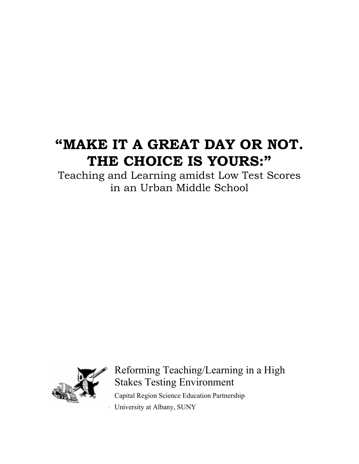# **"MAKE IT A GREAT DAY OR NOT. THE CHOICE IS YOURS:"**

Teaching and Learning amidst Low Test Scores in an Urban Middle School



Reforming Teaching/Learning in a High Stakes Testing Environment

Capital Region Science Education Partnership University at Albany, SUNY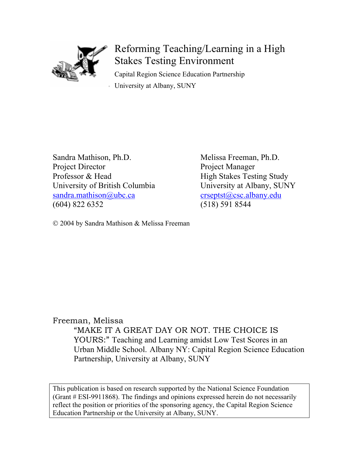

# Reforming Teaching/Learning in a High Stakes Testing Environment

Capital Region Science Education Partnership University at Albany, SUNY

Sandra Mathison, Ph.D. Melissa Freeman, Ph.D. Project Director Project Manager Professor & Head High Stakes Testing Study University of British Columbia University at Albany, SUNY sandra.mathison@ubc.ca crseptst@csc.albany.edu (604) 822 6352 (518) 591 8544

2004 by Sandra Mathison & Melissa Freeman

Freeman, Melissa

"MAKE IT A GREAT DAY OR NOT. THE CHOICE IS YOURS:" Teaching and Learning amidst Low Test Scores in an Urban Middle School. Albany NY: Capital Region Science Education Partnership, University at Albany, SUNY

This publication is based on research supported by the National Science Foundation (Grant # ESI-9911868). The findings and opinions expressed herein do not necessarily reflect the position or priorities of the sponsoring agency, the Capital Region Science Education Partnership or the University at Albany, SUNY.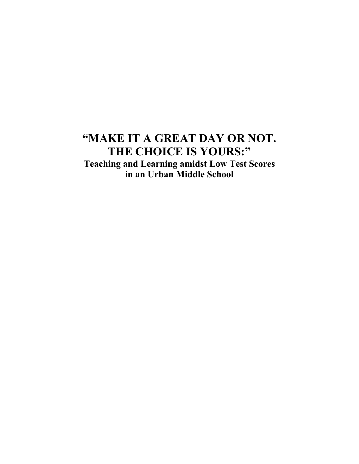## **"MAKE IT A GREAT DAY OR NOT. THE CHOICE IS YOURS:" Teaching and Learning amidst Low Test Scores in an Urban Middle School**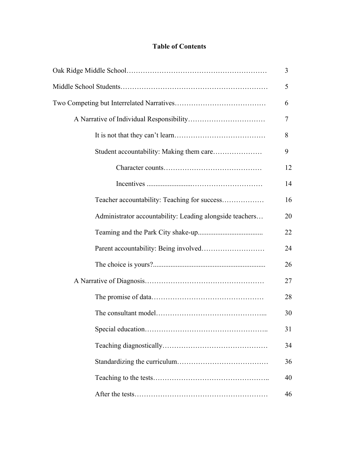### **Table of Contents**

|                                                          | 3  |
|----------------------------------------------------------|----|
|                                                          | 5  |
|                                                          | 6  |
|                                                          | 7  |
|                                                          | 8  |
|                                                          | 9  |
|                                                          | 12 |
|                                                          | 14 |
| Teacher accountability: Teaching for success             | 16 |
| Administrator accountability: Leading alongside teachers | 20 |
|                                                          | 22 |
|                                                          | 24 |
|                                                          | 26 |
|                                                          | 27 |
|                                                          | 28 |
|                                                          | 30 |
|                                                          | 31 |
|                                                          | 34 |
|                                                          | 36 |
|                                                          | 40 |
|                                                          | 46 |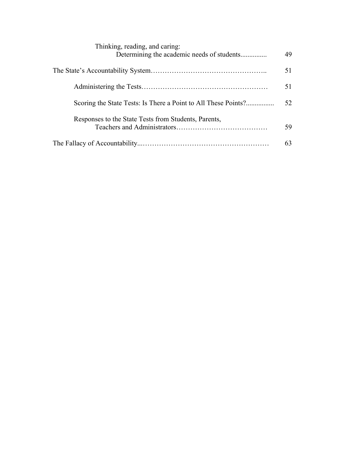| Thinking, reading, and caring:                                 | 49  |
|----------------------------------------------------------------|-----|
|                                                                | 51  |
|                                                                | 51  |
| Scoring the State Tests: Is There a Point to All These Points? | 52. |
| Responses to the State Tests from Students, Parents,           | 59  |
|                                                                | 63  |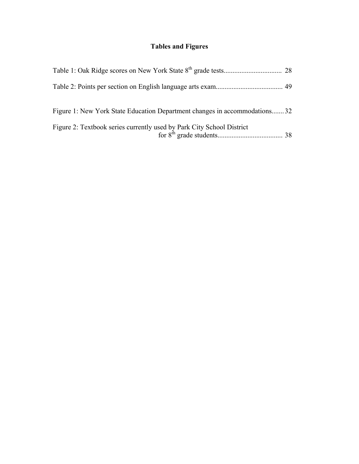### **Tables and Figures**

| Figure 1: New York State Education Department changes in accommodations32 |  |
|---------------------------------------------------------------------------|--|
| Figure 2: Textbook series currently used by Park City School District     |  |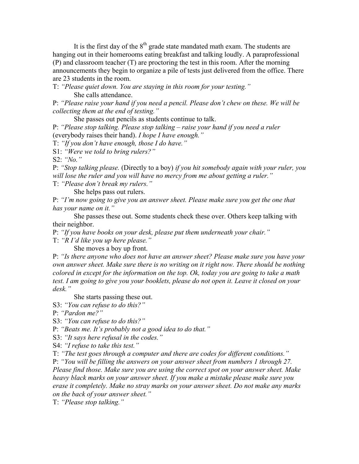It is the first day of the  $8<sup>th</sup>$  grade state mandated math exam. The students are hanging out in their homerooms eating breakfast and talking loudly. A paraprofessional (P) and classroom teacher (T) are proctoring the test in this room. After the morning announcements they begin to organize a pile of tests just delivered from the office. There are 23 students in the room.

T: *"Please quiet down. You are staying in this room for your testing."*  She calls attendance.

P: *"Please raise your hand if you need a pencil. Please don't chew on these. We will be collecting them at the end of testing."* 

She passes out pencils as students continue to talk.

P: *"Please stop talking. Please stop talking – raise your hand if you need a ruler* (everybody raises their hand). *I hope I have enough."*

T: *"If you don't have enough, those I do have."* 

S1: *"Were we told to bring rulers?"* 

S2: *"No."*

P: *"Stop talking please.* (Directly to a boy) *if you hit somebody again with your ruler, you will lose the ruler and you will have no mercy from me about getting a ruler."* 

T: *"Please don't break my rulers."*

She helps pass out rulers.

P: *"I'm now going to give you an answer sheet. Please make sure you get the one that has your name on it."*

She passes these out. Some students check these over. Others keep talking with their neighbor.

P: *"If you have books on your desk, please put them underneath your chair."*

T: *"R I'd like you up here please."*

She moves a boy up front.

P: *"Is there anyone who does not have an answer sheet? Please make sure you have your own answer sheet. Make sure there is no writing on it right now. There should be nothing colored in except for the information on the top. Ok, today you are going to take a math test. I am going to give you your booklets, please do not open it. Leave it closed on your desk."* 

She starts passing these out.

S3: *"You can refuse to do this?"* 

P: *"Pardon me?"*

S3: *"You can refuse to do this?"* 

P: *"Beats me. It's probably not a good idea to do that."* 

S3: *"It says here refusal in the codes."*

S4: *"I refuse to take this test."* 

T: *"The test goes through a computer and there are codes for different conditions."* 

P: *"You will be filling the answers on your answer sheet from numbers 1 through 27. Please find those. Make sure you are using the correct spot on your answer sheet. Make heavy black marks on your answer sheet. If you make a mistake please make sure you erase it completely. Make no stray marks on your answer sheet. Do not make any marks on the back of your answer sheet."* 

T: *"Please stop talking."*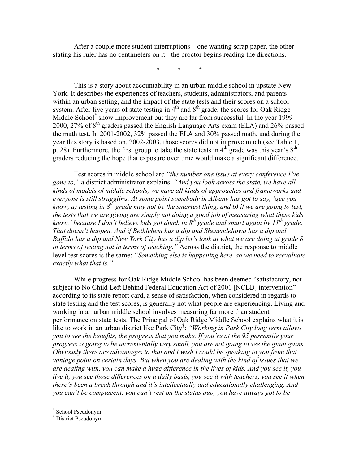After a couple more student interruptions – one wanting scrap paper, the other stating his ruler has no centimeters on it - the proctor begins reading the directions.

\* \* \*

This is a story about accountability in an urban middle school in upstate New York. It describes the experiences of teachers, students, administrators, and parents within an urban setting, and the impact of the state tests and their scores on a school system. After five years of state testing in  $4<sup>th</sup>$  and  $8<sup>th</sup>$  grade, the scores for Oak Ridge Middle School<sup>\*</sup> show improvement but they are far from successful. In the year 1999-2000, 27% of  $8<sup>th</sup>$  graders passed the English Language Arts exam (ELA) and 26% passed the math test. In 2001-2002, 32% passed the ELA and 30% passed math, and during the year this story is based on, 2002-2003, those scores did not improve much (see Table 1, p. 28). Furthermore, the first group to take the state tests in  $4<sup>th</sup>$  grade was this year's  $8<sup>th</sup>$ graders reducing the hope that exposure over time would make a significant difference.

Test scores in middle school are *"the number one issue at every conference I've gone to,"* a district administrator explains. *"And you look across the state, we have all kinds of models of middle schools, we have all kinds of approaches and frameworks and everyone is still struggling. At some point somebody in Albany has got to say, 'gee you know, a) testing in 8th grade may not be the smartest thing, and b) if we are going to test, the tests that we are giving are simply not doing a good job of measuring what these kids*  know,' because I don't believe kids got dumb in 8<sup>th</sup> grade and smart again by 11<sup>th</sup> grade. *That doesn't happen. And if Bethlehem has a dip and Shenendehowa has a dip and Buffalo has a dip and New York City has a dip let's look at what we are doing at grade 8 in terms of testing not in terms of teaching."* Across the district, the response to middle level test scores is the same: *"Something else is happening here, so we need to reevaluate exactly what that is."* 

While progress for Oak Ridge Middle School has been deemed "satisfactory, not subject to No Child Left Behind Federal Education Act of 2001 [NCLB] intervention" according to its state report card, a sense of satisfaction, when considered in regards to state testing and the test scores, is generally not what people are experiencing. Living and working in an urban middle school involves measuring far more than student performance on state tests. The Principal of Oak Ridge Middle School explains what it is like to work in an urban district like Park City† : *"Working in Park City long term allows you to see the benefits, the progress that you make. If you're at the 95 percentile your progress is going to be incrementally very small, you are not going to see the giant gains. Obviously there are advantages to that and I wish I could be speaking to you from that vantage point on certain days. But when you are dealing with the kind of issues that we are dealing with, you can make a huge difference in the lives of kids. And you see it, you live it, you see those differences on a daily basis, you see it with teachers, you see it when there's been a break through and it's intellectually and educationally challenging. And you can't be complacent, you can't rest on the status quo, you have always got to be* 

 $\overline{a}$ 

<sup>\*</sup> School Pseudonym

<sup>†</sup> District Pseudonym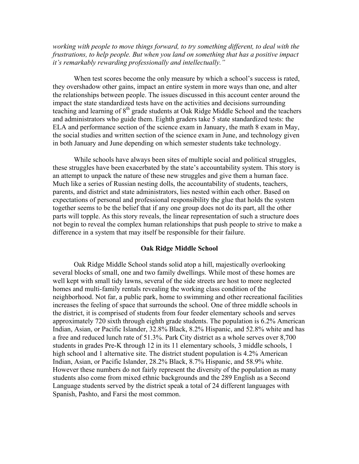*working with people to move things forward, to try something different, to deal with the frustrations, to help people. But when you land on something that has a positive impact it's remarkably rewarding professionally and intellectually."* 

When test scores become the only measure by which a school's success is rated, they overshadow other gains, impact an entire system in more ways than one, and alter the relationships between people. The issues discussed in this account center around the impact the state standardized tests have on the activities and decisions surrounding teaching and learning of 8<sup>th</sup> grade students at Oak Ridge Middle School and the teachers and administrators who guide them. Eighth graders take 5 state standardized tests: the ELA and performance section of the science exam in January, the math 8 exam in May, the social studies and written section of the science exam in June, and technology given in both January and June depending on which semester students take technology.

While schools have always been sites of multiple social and political struggles, these struggles have been exacerbated by the state's accountability system. This story is an attempt to unpack the nature of these new struggles and give them a human face. Much like a series of Russian nesting dolls, the accountability of students, teachers, parents, and district and state administrators, lies nested within each other. Based on expectations of personal and professional responsibility the glue that holds the system together seems to be the belief that if any one group does not do its part, all the other parts will topple. As this story reveals, the linear representation of such a structure does not begin to reveal the complex human relationships that push people to strive to make a difference in a system that may itself be responsible for their failure.

#### **Oak Ridge Middle School**

Oak Ridge Middle School stands solid atop a hill, majestically overlooking several blocks of small, one and two family dwellings. While most of these homes are well kept with small tidy lawns, several of the side streets are host to more neglected homes and multi-family rentals revealing the working class condition of the neighborhood. Not far, a public park, home to swimming and other recreational facilities increases the feeling of space that surrounds the school. One of three middle schools in the district, it is comprised of students from four feeder elementary schools and serves approximately 720 sixth through eighth grade students. The population is 6.2% American Indian, Asian, or Pacific Islander, 32.8% Black, 8.2% Hispanic, and 52.8% white and has a free and reduced lunch rate of 51.3%. Park City district as a whole serves over 8,700 students in grades Pre-K through 12 in its 11 elementary schools, 3 middle schools, 1 high school and 1 alternative site. The district student population is 4.2% American Indian, Asian, or Pacific Islander, 28.2% Black, 8.7% Hispanic, and 58.9% white. However these numbers do not fairly represent the diversity of the population as many students also come from mixed ethnic backgrounds and the 289 English as a Second Language students served by the district speak a total of 24 different languages with Spanish, Pashto, and Farsi the most common.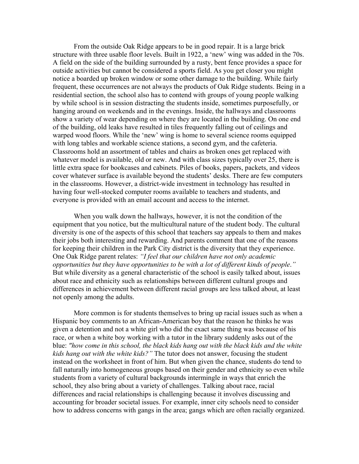From the outside Oak Ridge appears to be in good repair. It is a large brick structure with three usable floor levels. Built in 1922, a 'new' wing was added in the 70s. A field on the side of the building surrounded by a rusty, bent fence provides a space for outside activities but cannot be considered a sports field. As you get closer you might notice a boarded up broken window or some other damage to the building. While fairly frequent, these occurrences are not always the products of Oak Ridge students. Being in a residential section, the school also has to contend with groups of young people walking by while school is in session distracting the students inside, sometimes purposefully, or hanging around on weekends and in the evenings. Inside, the hallways and classrooms show a variety of wear depending on where they are located in the building. On one end of the building, old leaks have resulted in tiles frequently falling out of ceilings and warped wood floors. While the 'new' wing is home to several science rooms equipped with long tables and workable science stations, a second gym, and the cafeteria. Classrooms hold an assortment of tables and chairs as broken ones get replaced with whatever model is available, old or new. And with class sizes typically over 25, there is little extra space for bookcases and cabinets. Piles of books, papers, packets, and videos cover whatever surface is available beyond the students' desks. There are few computers in the classrooms. However, a district-wide investment in technology has resulted in having four well-stocked computer rooms available to teachers and students, and everyone is provided with an email account and access to the internet.

When you walk down the hallways, however, it is not the condition of the equipment that you notice, but the multicultural nature of the student body. The cultural diversity is one of the aspects of this school that teachers say appeals to them and makes their jobs both interesting and rewarding. And parents comment that one of the reasons for keeping their children in the Park City district is the diversity that they experience. One Oak Ridge parent relates: *"I feel that our children have not only academic opportunities but they have opportunities to be with a lot of different kinds of people*.*"* But while diversity as a general characteristic of the school is easily talked about, issues about race and ethnicity such as relationships between different cultural groups and differences in achievement between different racial groups are less talked about, at least not openly among the adults.

More common is for students themselves to bring up racial issues such as when a Hispanic boy comments to an African-American boy that the reason he thinks he was given a detention and not a white girl who did the exact same thing was because of his race, or when a white boy working with a tutor in the library suddenly asks out of the blue: *"how come in this school, the black kids hang out with the black kids and the white kids hang out with the white kids?"* The tutor does not answer, focusing the student instead on the worksheet in front of him. But when given the chance, students do tend to fall naturally into homogeneous groups based on their gender and ethnicity so even while students from a variety of cultural backgrounds intermingle in ways that enrich the school, they also bring about a variety of challenges. Talking about race, racial differences and racial relationships is challenging because it involves discussing and accounting for broader societal issues. For example, inner city schools need to consider how to address concerns with gangs in the area; gangs which are often racially organized.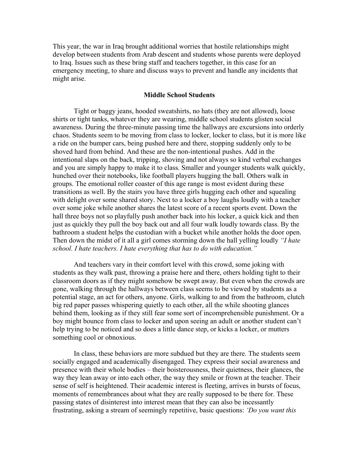This year, the war in Iraq brought additional worries that hostile relationships might develop between students from Arab descent and students whose parents were deployed to Iraq. Issues such as these bring staff and teachers together, in this case for an emergency meeting, to share and discuss ways to prevent and handle any incidents that might arise.

#### **Middle School Students**

Tight or baggy jeans, hooded sweatshirts, no hats (they are not allowed), loose shirts or tight tanks, whatever they are wearing, middle school students glisten social awareness. During the three-minute passing time the hallways are excursions into orderly chaos. Students seem to be moving from class to locker, locker to class, but it is more like a ride on the bumper cars, being pushed here and there, stopping suddenly only to be shoved hard from behind. And these are the non-intentional pushes. Add in the intentional slaps on the back, tripping, shoving and not always so kind verbal exchanges and you are simply happy to make it to class. Smaller and younger students walk quickly, hunched over their notebooks, like football players hugging the ball. Others walk in groups. The emotional roller coaster of this age range is most evident during these transitions as well. By the stairs you have three girls hugging each other and squealing with delight over some shared story. Next to a locker a boy laughs loudly with a teacher over some joke while another shares the latest score of a recent sports event. Down the hall three boys not so playfully push another back into his locker, a quick kick and then just as quickly they pull the boy back out and all four walk loudly towards class. By the bathroom a student helps the custodian with a bucket while another holds the door open. Then down the midst of it all a girl comes storming down the hall yelling loudly *"I hate school. I hate teachers. I hate everything that has to do with education."* 

And teachers vary in their comfort level with this crowd, some joking with students as they walk past, throwing a praise here and there, others holding tight to their classroom doors as if they might somehow be swept away. But even when the crowds are gone, walking through the hallways between class seems to be viewed by students as a potential stage, an act for others, anyone. Girls, walking to and from the bathroom, clutch big red paper passes whispering quietly to each other, all the while shooting glances behind them, looking as if they still fear some sort of incomprehensible punishment. Or a boy might bounce from class to locker and upon seeing an adult or another student can't help trying to be noticed and so does a little dance step, or kicks a locker, or mutters something cool or obnoxious.

In class, these behaviors are more subdued but they are there. The students seem socially engaged and academically disengaged. They express their social awareness and presence with their whole bodies – their boisterousness, their quietness, their glances, the way they lean away or into each other, the way they smile or frown at the teacher. Their sense of self is heightened. Their academic interest is fleeting, arrives in bursts of focus, moments of remembrances about what they are really supposed to be there for. These passing states of disinterest into interest mean that they can also be incessantly frustrating, asking a stream of seemingly repetitive, basic questions: *'Do you want this*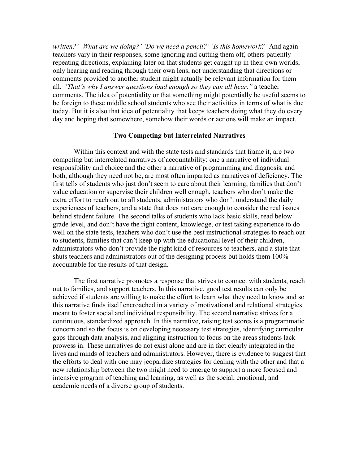*written?' 'What are we doing?' 'Do we need a pencil?' 'Is this homework?'* And again teachers vary in their responses, some ignoring and cutting them off, others patiently repeating directions, explaining later on that students get caught up in their own worlds, only hearing and reading through their own lens, not understanding that directions or comments provided to another student might actually be relevant information for them all. *"That's why I answer questions loud enough so they can all hear,"* a teacher comments. The idea of potentiality or that something might potentially be useful seems to be foreign to these middle school students who see their activities in terms of what is due today. But it is also that idea of potentiality that keeps teachers doing what they do every day and hoping that somewhere, somehow their words or actions will make an impact.

#### **Two Competing but Interrelated Narratives**

Within this context and with the state tests and standards that frame it, are two competing but interrelated narratives of accountability: one a narrative of individual responsibility and choice and the other a narrative of programming and diagnosis, and both, although they need not be, are most often imparted as narratives of deficiency. The first tells of students who just don't seem to care about their learning, families that don't value education or supervise their children well enough, teachers who don't make the extra effort to reach out to all students, administrators who don't understand the daily experiences of teachers, and a state that does not care enough to consider the real issues behind student failure. The second talks of students who lack basic skills, read below grade level, and don't have the right content, knowledge, or test taking experience to do well on the state tests, teachers who don't use the best instructional strategies to reach out to students, families that can't keep up with the educational level of their children, administrators who don't provide the right kind of resources to teachers, and a state that shuts teachers and administrators out of the designing process but holds them 100% accountable for the results of that design.

The first narrative promotes a response that strives to connect with students, reach out to families, and support teachers. In this narrative, good test results can only be achieved if students are willing to make the effort to learn what they need to know and so this narrative finds itself encroached in a variety of motivational and relational strategies meant to foster social and individual responsibility. The second narrative strives for a continuous, standardized approach. In this narrative, raising test scores is a programmatic concern and so the focus is on developing necessary test strategies, identifying curricular gaps through data analysis, and aligning instruction to focus on the areas students lack prowess in. These narratives do not exist alone and are in fact clearly integrated in the lives and minds of teachers and administrators. However, there is evidence to suggest that the efforts to deal with one may jeopardize strategies for dealing with the other and that a new relationship between the two might need to emerge to support a more focused and intensive program of teaching and learning, as well as the social, emotional, and academic needs of a diverse group of students.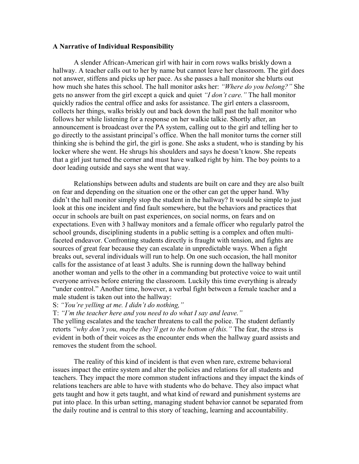#### **A Narrative of Individual Responsibility**

A slender African-American girl with hair in corn rows walks briskly down a hallway. A teacher calls out to her by name but cannot leave her classroom. The girl does not answer, stiffens and picks up her pace. As she passes a hall monitor she blurts out how much she hates this school. The hall monitor asks her: *"Where do you belong?"* She gets no answer from the girl except a quick and quiet *"I don't care."* The hall monitor quickly radios the central office and asks for assistance. The girl enters a classroom, collects her things, walks briskly out and back down the hall past the hall monitor who follows her while listening for a response on her walkie talkie. Shortly after, an announcement is broadcast over the PA system, calling out to the girl and telling her to go directly to the assistant principal's office. When the hall monitor turns the corner still thinking she is behind the girl, the girl is gone. She asks a student, who is standing by his locker where she went. He shrugs his shoulders and says he doesn't know. She repeats that a girl just turned the corner and must have walked right by him. The boy points to a door leading outside and says she went that way.

Relationships between adults and students are built on care and they are also built on fear and depending on the situation one or the other can get the upper hand. Why didn't the hall monitor simply stop the student in the hallway? It would be simple to just look at this one incident and find fault somewhere, but the behaviors and practices that occur in schools are built on past experiences, on social norms, on fears and on expectations. Even with 3 hallway monitors and a female officer who regularly patrol the school grounds, disciplining students in a public setting is a complex and often multifaceted endeavor. Confronting students directly is fraught with tension, and fights are sources of great fear because they can escalate in unpredictable ways. When a fight breaks out, several individuals will run to help. On one such occasion, the hall monitor calls for the assistance of at least 3 adults. She is running down the hallway behind another woman and yells to the other in a commanding but protective voice to wait until everyone arrives before entering the classroom. Luckily this time everything is already "under control." Another time, however, a verbal fight between a female teacher and a male student is taken out into the hallway:

S: *"You're yelling at me. I didn't do nothing,"*

T: *"I'm the teacher here and you need to do what I say and leave."*

The yelling escalates and the teacher threatens to call the police. The student defiantly retorts *"why don't you, maybe they'll get to the bottom of this."* The fear, the stress is evident in both of their voices as the encounter ends when the hallway guard assists and removes the student from the school.

The reality of this kind of incident is that even when rare, extreme behavioral issues impact the entire system and alter the policies and relations for all students and teachers. They impact the more common student infractions and they impact the kinds of relations teachers are able to have with students who do behave. They also impact what gets taught and how it gets taught, and what kind of reward and punishment systems are put into place. In this urban setting, managing student behavior cannot be separated from the daily routine and is central to this story of teaching, learning and accountability.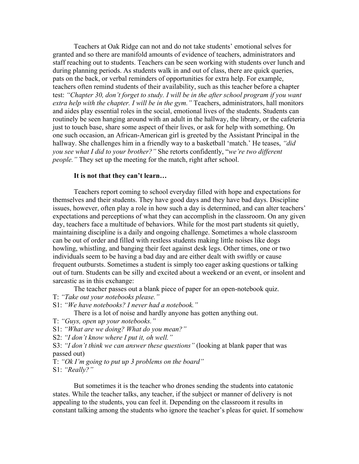Teachers at Oak Ridge can not and do not take students' emotional selves for granted and so there are manifold amounts of evidence of teachers, administrators and staff reaching out to students. Teachers can be seen working with students over lunch and during planning periods. As students walk in and out of class, there are quick queries, pats on the back, or verbal reminders of opportunities for extra help. For example, teachers often remind students of their availability, such as this teacher before a chapter test: *"Chapter 30, don't forget to study. I will be in the after school program if you want extra help with the chapter. I will be in the gym."* Teachers, administrators, hall monitors and aides play essential roles in the social, emotional lives of the students. Students can routinely be seen hanging around with an adult in the hallway, the library, or the cafeteria just to touch base, share some aspect of their lives, or ask for help with something. On one such occasion, an African-American girl is greeted by the Assistant Principal in the hallway. She challenges him in a friendly way to a basketball 'match.' He teases, *"did you see what I did to your brother?"* She retorts confidently, "*we're two different people.*" They set up the meeting for the match, right after school.

#### **It is not that they can't learn…**

Teachers report coming to school everyday filled with hope and expectations for themselves and their students. They have good days and they have bad days. Discipline issues, however, often play a role in how such a day is determined, and can alter teachers' expectations and perceptions of what they can accomplish in the classroom. On any given day, teachers face a multitude of behaviors. While for the most part students sit quietly, maintaining discipline is a daily and ongoing challenge. Sometimes a whole classroom can be out of order and filled with restless students making little noises like dogs howling, whistling, and banging their feet against desk legs. Other times, one or two individuals seem to be having a bad day and are either dealt with swiftly or cause frequent outbursts. Sometimes a student is simply too eager asking questions or talking out of turn. Students can be silly and excited about a weekend or an event, or insolent and sarcastic as in this exchange:

The teacher passes out a blank piece of paper for an open-notebook quiz.

- T: *"Take out your notebooks please."*
- S1: *"We have notebooks? I never had a notebook."*

There is a lot of noise and hardly anyone has gotten anything out.

- T: *"Guys, open up your notebooks."*
- S1: *"What are we doing? What do you mean?"*
- S2: *"I don't know where I put it, oh well."*
- S3: *"I don't think we can answer these questions"* (looking at blank paper that was passed out)
- T: *"Ok I'm going to put up 3 problems on the board"*

S1: *"Really?"*

But sometimes it is the teacher who drones sending the students into catatonic states. While the teacher talks, any teacher, if the subject or manner of delivery is not appealing to the students, you can feel it. Depending on the classroom it results in constant talking among the students who ignore the teacher's pleas for quiet. If somehow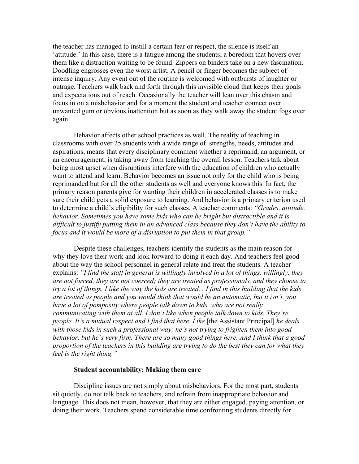the teacher has managed to instill a certain fear or respect, the silence is itself an 'attitude.' In this case, there is a fatigue among the students; a boredom that hovers over them like a distraction waiting to be found. Zippers on binders take on a new fascination. Doodling engrosses even the worst artist. A pencil or finger becomes the subject of intense inquiry. Any event out of the routine is welcomed with outbursts of laughter or outrage. Teachers walk back and forth through this invisible cloud that keeps their goals and expectations out of reach. Occasionally the teacher will lean over this chasm and focus in on a misbehavior and for a moment the student and teacher connect over unwanted gum or obvious inattention but as soon as they walk away the student fogs over again.

Behavior affects other school practices as well. The reality of teaching in classrooms with over 25 students with a wide range of strengths, needs, attitudes and aspirations, means that every disciplinary comment whether a reprimand, an argument, or an encouragement, is taking away from teaching the overall lesson. Teachers talk about being most upset when disruptions interfere with the education of children who actually want to attend and learn. Behavior becomes an issue not only for the child who is being reprimanded but for all the other students as well and everyone knows this. In fact, the primary reason parents give for wanting their children in accelerated classes is to make sure their child gets a solid exposure to learning. And behavior is a primary criterion used to determine a child's eligibility for such classes. A teacher comments: *"Grades, attitude, behavior. Sometimes you have some kids who can be bright but distractible and it is difficult to justify putting them in an advanced class because they don't have the ability to focus and it would be more of a disruption to put them in that group."* 

 Despite these challenges, teachers identify the students as the main reason for why they love their work and look forward to doing it each day. And teachers feel good about the way the school personnel in general relate and treat the students. A teacher explains: *"I find the staff in general is willingly involved in a lot of things, willingly, they are not forced, they are not coerced; they are treated as professionals, and they choose to try a lot of things. I like the way the kids are treated... I find in this building that the kids are treated as people and you would think that would be an automatic, but it isn't, you have a lot of pomposity where people talk down to kids, who are not really communicating with them at all. I don't like when people talk down to kids. They're people. It's a mutual respect and I find that here. Like* [the Assistant Principal] *he deals with those kids in such a professional way; he's not trying to frighten them into good behavior, but he's very firm. There are so many good things here. And I think that a good proportion of the teachers in this building are trying to do the best they can for what they feel is the right thing."* 

#### **Student accountability: Making them care**

Discipline issues are not simply about misbehaviors. For the most part, students sit quietly, do not talk back to teachers, and refrain from inappropriate behavior and language. This does not mean, however, that they are either engaged, paying attention, or doing their work. Teachers spend considerable time confronting students directly for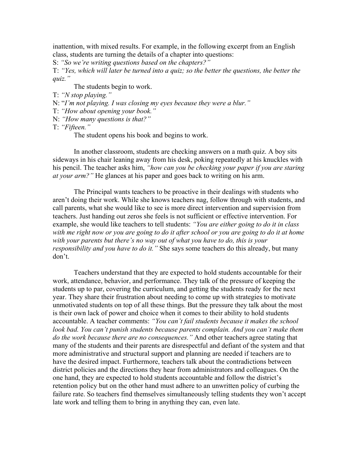inattention, with mixed results. For example, in the following excerpt from an English class, students are turning the details of a chapter into questions:

S: *"So we're writing questions based on the chapters?"* 

T: *"Yes, which will later be turned into a quiz; so the better the questions, the better the quiz."* 

The students begin to work.

T: *"N stop playing."*

- N: "*I'm not playing. I was closing my eyes because they were a blur."*
- T: *"How about opening your book."*
- N: *"How many questions is that?"*

T: *"Fifteen."* 

The student opens his book and begins to work.

In another classroom, students are checking answers on a math quiz. A boy sits sideways in his chair leaning away from his desk, poking repeatedly at his knuckles with his pencil. The teacher asks him, *"how can you be checking your paper if you are staring at your arm?"* He glances at his paper and goes back to writing on his arm.

The Principal wants teachers to be proactive in their dealings with students who aren't doing their work. While she knows teachers nag, follow through with students, and call parents, what she would like to see is more direct intervention and supervision from teachers. Just handing out zeros she feels is not sufficient or effective intervention. For example, she would like teachers to tell students: *"You are either going to do it in class with me right now or you are going to do it after school or you are going to do it at home with your parents but there's no way out of what you have to do, this is your responsibility and you have to do it."* She says some teachers do this already, but many don't.

Teachers understand that they are expected to hold students accountable for their work, attendance, behavior, and performance. They talk of the pressure of keeping the students up to par, covering the curriculum, and getting the students ready for the next year. They share their frustration about needing to come up with strategies to motivate unmotivated students on top of all these things. But the pressure they talk about the most is their own lack of power and choice when it comes to their ability to hold students accountable. A teacher comments: *"You can't fail students because it makes the school look bad. You can't punish students because parents complain. And you can't make them do the work because there are no consequences."* And other teachers agree stating that many of the students and their parents are disrespectful and defiant of the system and that more administrative and structural support and planning are needed if teachers are to have the desired impact. Furthermore, teachers talk about the contradictions between district policies and the directions they hear from administrators and colleagues. On the one hand, they are expected to hold students accountable and follow the district's retention policy but on the other hand must adhere to an unwritten policy of curbing the failure rate. So teachers find themselves simultaneously telling students they won't accept late work and telling them to bring in anything they can, even late.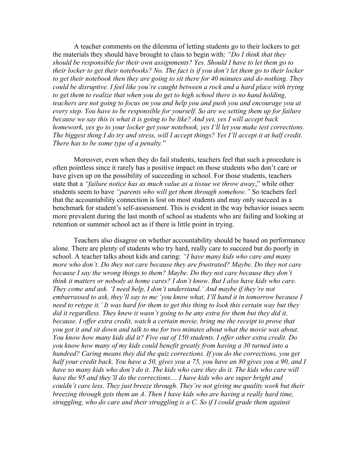A teacher comments on the dilemma of letting students go to their lockers to get the materials they should have brought to class to begin with: *"Do I think that they should be responsible for their own assignments? Yes. Should I have to let them go to their locker to get their notebooks? No. The fact is if you don't let them go to their locker to get their notebook then they are going to sit there for 40 minutes and do nothing. They could be disruptive. I feel like you're caught between a rock and a hard place with trying*  to get them to realize that when you do get to high school there is no hand holding, *teachers are not going to focus on you and help you and push you and encourage you at every step. You have to be responsible for yourself. So are we setting them up for failure because we say this is what it is going to be like? And yet, yes I will accept back homework, yes go to your locker get your notebook, yes I'll let you make test corrections. The biggest thing I do try and stress, will I accept things? Yes I'll accept it at half credit. There has to be some type of a penalty.*"

Moreover, even when they do fail students, teachers feel that such a procedure is often pointless since it rarely has a positive impact on those students who don't care or have given up on the possibility of succeeding in school. For those students, teachers state that a *"failure notice has as much value as a tissue we throw away*," while other students seem to have *"parents who will get them through somehow."* So teachers feel that the accountability connection is lost on most students and may only succeed as a benchmark for student's self-assessment. This is evident in the way behavior issues seem more prevalent during the last month of school as students who are failing and looking at retention or summer school act as if there is little point in trying.

Teachers also disagree on whether accountability should be based on performance alone. There are plenty of students who try hard, really care to succeed but do poorly in school. A teacher talks about kids and caring: *"I have many kids who care and many more who don't. Do they not care because they are frustrated? Maybe. Do they not care because I say the wrong things to them? Maybe. Do they not care because they don't think it matters or nobody at home cares? I don't know. But I also have kids who care. They come and ask. 'I need help, I don't understand.' And maybe if they're not embarrassed to ask, they'll say to me 'you know what, I'll hand it in tomorrow because I need to retype it.' It was hard for them to get this thing to look this certain way but they did it regardless. They knew it wasn't going to be any extra for them but they did it, because. I offer extra credit, watch a certain movie, bring me the receipt to prove that you got it and sit down and talk to me for two minutes about what the movie was about. You know how many kids did it? Five out of 150 students. I offer other extra credit. Do you know how many of my kids could benefit greatly from having a 30 turned into a hundred? Caring means they did the quiz corrections. If you do the corrections, you get half your credit back. You have a 50, gives you a 75, you have an 80 gives you a 90, and I have so many kids who don't do it. The kids who care they do it. The kids who care will have the 95 and they'll do the corrections.... I have kids who are super bright and couldn't care less. They just breeze through. They're not giving me quality work but their breezing through gets them an A. Then I have kids who are having a really hard time, struggling, who do care and their struggling is a C. So if I could grade them against*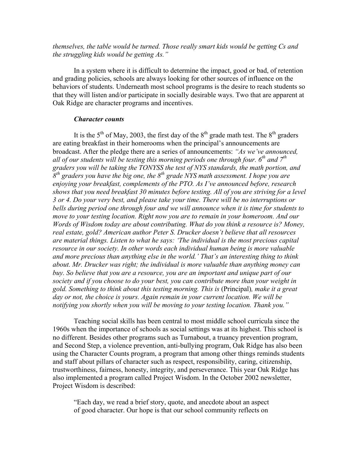#### *themselves, the table would be turned. Those really smart kids would be getting Cs and the struggling kids would be getting As."*

In a system where it is difficult to determine the impact, good or bad, of retention and grading policies, schools are always looking for other sources of influence on the behaviors of students. Underneath most school programs is the desire to reach students so that they will listen and/or participate in socially desirable ways. Two that are apparent at Oak Ridge are character programs and incentives.

#### *Character counts*

It is the  $5<sup>th</sup>$  of May, 2003, the first day of the  $8<sup>th</sup>$  grade math test. The  $8<sup>th</sup>$  graders are eating breakfast in their homerooms when the principal's announcements are broadcast. After the pledge there are a series of announcements: *"As we've announced, all of our students will be testing this morning periods one through four. 6th and 7th graders you will be taking the TONYSS the test of NYS standards, the math portion, and*   $8<sup>th</sup>$  graders you have the big one, the  $8<sup>th</sup>$  grade NYS math assessment. I hope you are *enjoying your breakfast, complements of the PTO. As I've announced before, research shows that you need breakfast 30 minutes before testing. All of you are striving for a level 3 or 4. Do your very best, and please take your time. There will be no interruptions or bells during period one through four and we will announce when it is time for students to move to your testing location. Right now you are to remain in your homeroom. And our Words of Wisdom today are about contributing. What do you think a resource is? Money, real estate, gold? American author Peter S. Drucker doesn't believe that all resources are material things. Listen to what he says: 'The individual is the most precious capital resource in our society. In other words each individual human being is more valuable and more precious than anything else in the world.' That's an interesting thing to think about. Mr. Drucker was right; the individual is more valuable than anything money can buy. So believe that you are a resource, you are an important and unique part of our society and if you choose to do your best, you can contribute more than your weight in gold. Something to think about this testing morning. This is* (Principal)*, make it a great day or not, the choice is yours. Again remain in your current location. We will be notifying you shortly when you will be moving to your testing location. Thank you."* 

Teaching social skills has been central to most middle school curricula since the 1960s when the importance of schools as social settings was at its highest. This school is no different. Besides other programs such as Turnabout, a truancy prevention program, and Second Step, a violence prevention, anti-bullying program, Oak Ridge has also been using the Character Counts program, a program that among other things reminds students and staff about pillars of character such as respect, responsibility, caring, citizenship, trustworthiness, fairness, honesty, integrity, and perseverance. This year Oak Ridge has also implemented a program called Project Wisdom. In the October 2002 newsletter, Project Wisdom is described:

"Each day, we read a brief story, quote, and anecdote about an aspect of good character. Our hope is that our school community reflects on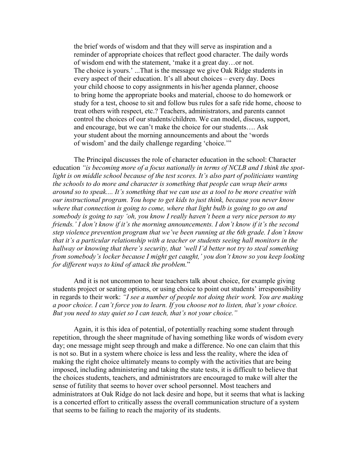the brief words of wisdom and that they will serve as inspiration and a reminder of appropriate choices that reflect good character. The daily words of wisdom end with the statement, 'make it a great day…or not. The choice is yours.' ...That is the message we give Oak Ridge students in every aspect of their education. It's all about choices – every day. Does your child choose to copy assignments in his/her agenda planner, choose to bring home the appropriate books and material, choose to do homework or study for a test, choose to sit and follow bus rules for a safe ride home, choose to treat others with respect, etc.? Teachers, administrators, and parents cannot control the choices of our students/children. We can model, discuss, support, and encourage, but we can't make the choice for our students…. Ask your student about the morning announcements and about the 'words of wisdom' and the daily challenge regarding 'choice.'"

The Principal discusses the role of character education in the school: Character education *"is becoming more of a focus nationally in terms of NCLB and I think the spot*light is on middle school because of the test scores. It's also part of politicians wanting *the schools to do more and character is something that people can wrap their arms around so to speak.... It's something that we can use as a tool to be more creative with our instructional program. You hope to get kids to just think, because you never know where that connection is going to come, where that light bulb is going to go on and somebody is going to say 'oh, you know I really haven't been a very nice person to my friends.' I don't know if it's the morning announcements. I don't know if it's the second step violence prevention program that we've been running at the 6th grade. I don't know that it's a particular relationship with a teacher or students seeing hall monitors in the hallway or knowing that there's security, that 'well I'd better not try to steal something from somebody's locker because I might get caught,' you don't know so you keep looking for different ways to kind of attack the problem.*"

And it is not uncommon to hear teachers talk about choice, for example giving students project or seating options, or using choice to point out students' irresponsibility in regards to their work: *"I see a number of people not doing their work. You are making a poor choice. I can't force you to learn. If you choose not to listen, that's your choice. But you need to stay quiet so I can teach, that's not your choice."* 

Again, it is this idea of potential, of potentially reaching some student through repetition, through the sheer magnitude of having something like words of wisdom every day; one message might seep through and make a difference. No one can claim that this is not so. But in a system where choice is less and less the reality, where the idea of making the right choice ultimately means to comply with the activities that are being imposed, including administering and taking the state tests, it is difficult to believe that the choices students, teachers, and administrators are encouraged to make will alter the sense of futility that seems to hover over school personnel. Most teachers and administrators at Oak Ridge do not lack desire and hope, but it seems that what is lacking is a concerted effort to critically assess the overall communication structure of a system that seems to be failing to reach the majority of its students.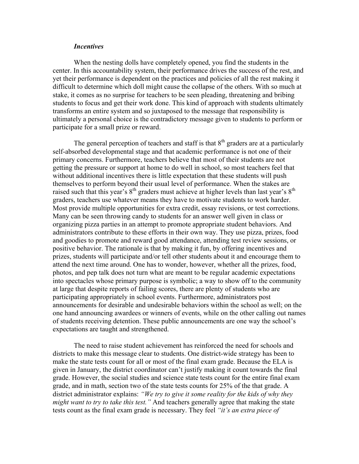#### *Incentives*

 When the nesting dolls have completely opened, you find the students in the center. In this accountability system, their performance drives the success of the rest, and yet their performance is dependent on the practices and policies of all the rest making it difficult to determine which doll might cause the collapse of the others. With so much at stake, it comes as no surprise for teachers to be seen pleading, threatening and bribing students to focus and get their work done. This kind of approach with students ultimately transforms an entire system and so juxtaposed to the message that responsibility is ultimately a personal choice is the contradictory message given to students to perform or participate for a small prize or reward.

The general perception of teachers and staff is that  $8<sup>th</sup>$  graders are at a particularly self-absorbed developmental stage and that academic performance is not one of their primary concerns. Furthermore, teachers believe that most of their students are not getting the pressure or support at home to do well in school, so most teachers feel that without additional incentives there is little expectation that these students will push themselves to perform beyond their usual level of performance. When the stakes are raised such that this year's  $8<sup>th</sup>$  graders must achieve at higher levels than last year's  $8<sup>th</sup>$ graders, teachers use whatever means they have to motivate students to work harder. Most provide multiple opportunities for extra credit, essay revisions, or test corrections. Many can be seen throwing candy to students for an answer well given in class or organizing pizza parties in an attempt to promote appropriate student behaviors. And administrators contribute to these efforts in their own way. They use pizza, prizes, food and goodies to promote and reward good attendance, attending test review sessions, or positive behavior. The rationale is that by making it fun, by offering incentives and prizes, students will participate and/or tell other students about it and encourage them to attend the next time around. One has to wonder, however, whether all the prizes, food, photos, and pep talk does not turn what are meant to be regular academic expectations into spectacles whose primary purpose is symbolic; a way to show off to the community at large that despite reports of failing scores, there are plenty of students who are participating appropriately in school events. Furthermore, administrators post announcements for desirable and undesirable behaviors within the school as well; on the one hand announcing awardees or winners of events, while on the other calling out names of students receiving detention. These public announcements are one way the school's expectations are taught and strengthened.

The need to raise student achievement has reinforced the need for schools and districts to make this message clear to students. One district-wide strategy has been to make the state tests count for all or most of the final exam grade. Because the ELA is given in January, the district coordinator can't justify making it count towards the final grade. However, the social studies and science state tests count for the entire final exam grade, and in math, section two of the state tests counts for 25% of the that grade. A district administrator explains: *"We try to give it some reality for the kids of why they might want to try to take this test."* And teachers generally agree that making the state tests count as the final exam grade is necessary. They feel *"it's an extra piece of*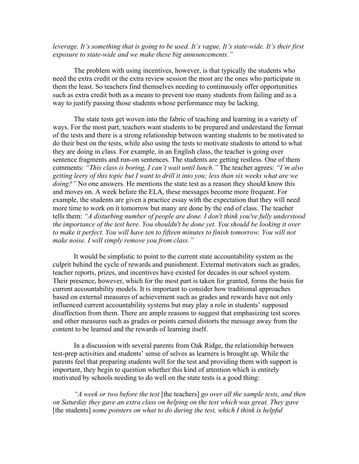*leverage. It's something that is going to be used. It's vague. It's state-wide. It's their first exposure to state-wide and we make these big announcements."*

The problem with using incentives, however, is that typically the students who need the extra credit or the extra review session the most are the ones who participate in them the least. So teachers find themselves needing to continuously offer opportunities such as extra credit both as a means to prevent too many students from failing and as a way to justify passing those students whose performance may be lacking.

 The state tests get woven into the fabric of teaching and learning in a variety of ways. For the most part, teachers want students to be prepared and understand the format of the tests and there is a strong relationship between wanting students to be motivated to do their best on the tests, while also using the tests to motivate students to attend to what they are doing in class. For example, in an English class, the teacher is going over sentence fragments and run-on sentences. The students are getting restless. One of them comments: *"This class is boring, I can't wait until lunch."* The teacher agrees: *"I'm also getting leery of this topic but I want to drill it into you; less than six weeks what are we doing?"* No one answers. He mentions the state test as a reason they should know this and moves on. A week before the ELA, these messages become more frequent. For example, the students are given a practice essay with the expectation that they will need more time to work on it tomorrow but many are done by the end of class. The teacher tells them: *"A disturbing number of people are done. I don't think you've fully understood the importance of the test here. You shouldn't be done yet. You should be looking it over*  to make it perfect. You will have ten to fifteen minutes to finish tomorrow. You will not *make noise. I will simply remove you from class."* 

It would be simplistic to point to the current state accountability system as the culprit behind the cycle of rewards and punishment. External motivators such as grades, teacher reports, prizes, and incentives have existed for decades in our school system. Their presence, however, which for the most part is taken for granted, forms the basis for current accountability models. It is important to consider how traditional approaches based on external measures of achievement such as grades and rewards have not only influenced current accountability systems but may play a role in students' supposed disaffection from them. There are ample reasons to suggest that emphasizing test scores and other measures such as grades or points earned distorts the message away from the content to be learned and the rewards of learning itself.

In a discussion with several parents from Oak Ridge, the relationship between test-prep activities and students' sense of selves as learners is brought up. While the parents feel that preparing students well for the test and providing them with support is important, they begin to question whether this kind of attention which is entirely motivated by schools needing to do well on the state tests is a good thing:

*"A week or two before the test* [the teachers] *go over all the sample tests, and then on Saturday they gave an extra class on helping on the test which was great. They gave*  [the students] *some pointers on what to do during the test, which I think is helpful*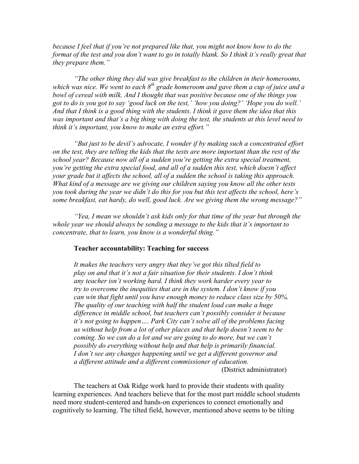*because I feel that if you're not prepared like that, you might not know how to do the format of the test and you don't want to go in totally blank. So I think it's really great that they prepare them."* 

 *"The other thing they did was give breakfast to the children in their homerooms,*  which was nice. We went to each  $8<sup>th</sup>$  grade homeroom and gave them a cup of juice and a *bowl of cereal with milk. And I thought that was positive because one of the things you got to do is you got to say 'good luck on the test,' 'how you doing?' 'Hope you do well.' And that I think is a good thing with the students. I think it gave them the idea that this was important and that's a big thing with doing the test, the students at this level need to think it's important, you know to make an extra effort."* 

 *"But just to be devil's advocate, I wonder if by making such a concentrated effort on the test, they are telling the kids that the tests are more important than the rest of the school year? Because now all of a sudden you're getting the extra special treatment, you're getting the extra special food, and all of a sudden this test, which doesn't affect your grade but it affects the school, all of a sudden the school is taking this approach. What kind of a message are we giving our children saying you know all the other tests you took during the year we didn't do this for you but this test affects the school, here's some breakfast, eat hardy, do well, good luck. Are we giving them the wrong message?"* 

 *"Yea, I mean we shouldn't ask kids only for that time of the year but through the whole year we should always be sending a message to the kids that it's important to concentrate, that to learn, you know is a wonderful thing."* 

#### **Teacher accountability: Teaching for success**

*It makes the teachers very angry that they've got this tilted field to play on and that it's not a fair situation for their students. I don't think any teacher isn't working hard. I think they work harder every year to try to overcome the inequities that are in the system. I don't know if you can win that fight until you have enough money to reduce class size by 50%. The quality of our teaching with half the student load can make a huge difference in middle school, but teachers can't possibly consider it because it's not going to happen…. Park City can't solve all of the problems facing us without help from a lot of other places and that help doesn't seem to be coming. So we can do a lot and we are going to do more, but we can't possibly do everything without help and that help is primarily financial. I don't see any changes happening until we get a different governor and a different attitude and a different commissioner of education.* 

(District administrator)

The teachers at Oak Ridge work hard to provide their students with quality learning experiences. And teachers believe that for the most part middle school students need more student-centered and hands-on experiences to connect emotionally and cognitively to learning. The tilted field, however, mentioned above seems to be tilting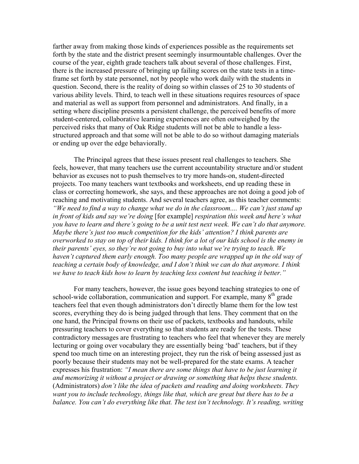farther away from making those kinds of experiences possible as the requirements set forth by the state and the district present seemingly insurmountable challenges. Over the course of the year, eighth grade teachers talk about several of those challenges. First, there is the increased pressure of bringing up failing scores on the state tests in a timeframe set forth by state personnel, not by people who work daily with the students in question. Second, there is the reality of doing so within classes of 25 to 30 students of various ability levels. Third, to teach well in these situations requires resources of space and material as well as support from personnel and administrators. And finally, in a setting where discipline presents a persistent challenge, the perceived benefits of more student-centered, collaborative learning experiences are often outweighed by the perceived risks that many of Oak Ridge students will not be able to handle a lessstructured approach and that some will not be able to do so without damaging materials or ending up over the edge behaviorally.

The Principal agrees that these issues present real challenges to teachers. She feels, however, that many teachers use the current accountability structure and/or student behavior as excuses not to push themselves to try more hands-on, student-directed projects. Too many teachers want textbooks and worksheets, end up reading these in class or correcting homework, she says, and these approaches are not doing a good job of reaching and motivating students. And several teachers agree, as this teacher comments: *"We need to find a way to change what we do in the classroom.... We can't just stand up in front of kids and say we're doing* [for example] *respiration this week and here's what you have to learn and there's going to be a unit test next week. We can't do that anymore. Maybe there's just too much competition for the kids' attention? I think parents are overworked to stay on top of their kids. I think for a lot of our kids school is the enemy in their parents' eyes, so they're not going to buy into what we're trying to teach. We haven't captured them early enough. Too many people are wrapped up in the old way of teaching a certain body of knowledge, and I don't think we can do that anymore. I think we have to teach kids how to learn by teaching less content but teaching it better."* 

For many teachers, however, the issue goes beyond teaching strategies to one of school-wide collaboration, communication and support. For example, many  $8<sup>th</sup>$  grade teachers feel that even though administrators don't directly blame them for the low test scores, everything they do is being judged through that lens. They comment that on the one hand, the Principal frowns on their use of packets, textbooks and handouts, while pressuring teachers to cover everything so that students are ready for the tests. These contradictory messages are frustrating to teachers who feel that whenever they are merely lecturing or going over vocabulary they are essentially being 'bad' teachers, but if they spend too much time on an interesting project, they run the risk of being assessed just as poorly because their students may not be well-prepared for the state exams. A teacher expresses his frustration: *"I mean there are some things that have to be just learning it and memorizing it without a project or drawing or something that helps these students.*  (Administrators) *don't like the idea of packets and reading and doing worksheets. They want you to include technology, things like that, which are great but there has to be a balance. You can't do everything like that. The test isn't technology. It's reading, writing*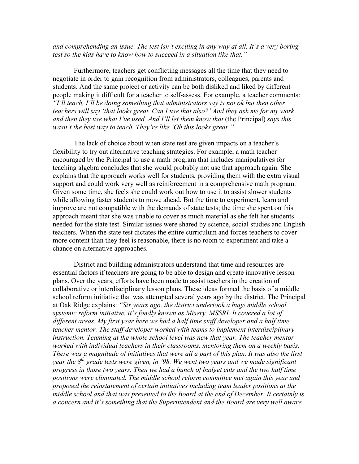*and comprehending an issue. The test isn't exciting in any way at all. It's a very boring test so the kids have to know how to succeed in a situation like that."* 

Furthermore, teachers get conflicting messages all the time that they need to negotiate in order to gain recognition from administrators, colleagues, parents and students. And the same project or activity can be both disliked and liked by different people making it difficult for a teacher to self-assess. For example, a teacher comments: *"I'll teach, I'll be doing something that administrators say is not ok but then other teachers will say 'that looks great. Can I use that also?' And they ask me for my work and then they use what I've used. And I'll let them know that* (the Principal) *says this wasn't the best way to teach. They're like 'Oh this looks great.'"* 

The lack of choice about when state test are given impacts on a teacher's flexibility to try out alternative teaching strategies. For example, a math teacher encouraged by the Principal to use a math program that includes manipulatives for teaching algebra concludes that she would probably not use that approach again. She explains that the approach works well for students, providing them with the extra visual support and could work very well as reinforcement in a comprehensive math program. Given some time, she feels she could work out how to use it to assist slower students while allowing faster students to move ahead. But the time to experiment, learn and improve are not compatible with the demands of state tests; the time she spent on this approach meant that she was unable to cover as much material as she felt her students needed for the state test. Similar issues were shared by science, social studies and English teachers. When the state test dictates the entire curriculum and forces teachers to cover more content than they feel is reasonable, there is no room to experiment and take a chance on alternative approaches.

District and building administrators understand that time and resources are essential factors if teachers are going to be able to design and create innovative lesson plans. Over the years, efforts have been made to assist teachers in the creation of collaborative or interdisciplinary lesson plans. These ideas formed the basis of a middle school reform initiative that was attempted several years ago by the district. The Principal at Oak Ridge explains: *"Six years ago, the district undertook a huge middle school systemic reform initiative, it's fondly known as Misery, MSSRI. It covered a lot of different areas. My first year here we had a half time staff developer and a half time teacher mentor. The staff developer worked with teams to implement interdisciplinary instruction. Teaming at the whole school level was new that year. The teacher mentor worked with individual teachers in their classrooms, mentoring them on a weekly basis. There was a magnitude of initiatives that were all a part of this plan. It was also the first year the 8<sup>th</sup> grade tests were given, in '98. We went two years and we made significant progress in those two years. Then we had a bunch of budget cuts and the two half time positions were eliminated. The middle school reform committee met again this year and proposed the reinstatement of certain initiatives including team leader positions at the middle school and that was presented to the Board at the end of December. It certainly is a concern and it's something that the Superintendent and the Board are very well aware*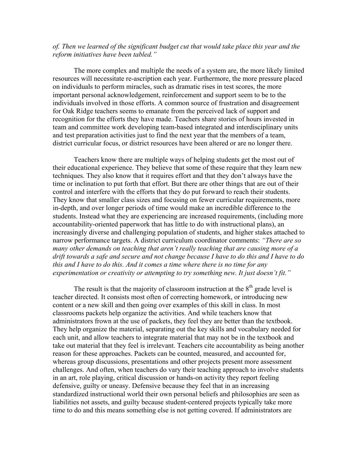#### *of. Then we learned of the significant budget cut that would take place this year and the reform initiatives have been tabled."*

The more complex and multiple the needs of a system are, the more likely limited resources will necessitate re-ascription each year. Furthermore, the more pressure placed on individuals to perform miracles, such as dramatic rises in test scores, the more important personal acknowledgement, reinforcement and support seem to be to the individuals involved in those efforts. A common source of frustration and disagreement for Oak Ridge teachers seems to emanate from the perceived lack of support and recognition for the efforts they have made. Teachers share stories of hours invested in team and committee work developing team-based integrated and interdisciplinary units and test preparation activities just to find the next year that the members of a team, district curricular focus, or district resources have been altered or are no longer there.

Teachers know there are multiple ways of helping students get the most out of their educational experience. They believe that some of these require that they learn new techniques. They also know that it requires effort and that they don't always have the time or inclination to put forth that effort. But there are other things that are out of their control and interfere with the efforts that they do put forward to reach their students. They know that smaller class sizes and focusing on fewer curricular requirements, more in-depth, and over longer periods of time would make an incredible difference to the students. Instead what they are experiencing are increased requirements, (including more accountability-oriented paperwork that has little to do with instructional plans), an increasingly diverse and challenging population of students, and higher stakes attached to narrow performance targets. A district curriculum coordinator comments: *"There are so many other demands on teaching that aren't really teaching that are causing more of a drift towards a safe and secure and not change because I have to do this and I have to do this and I have to do this. And it comes a time where there is no time for any experimentation or creativity or attempting to try something new. It just doesn't fit."* 

The result is that the majority of classroom instruction at the  $8<sup>th</sup>$  grade level is teacher directed. It consists most often of correcting homework, or introducing new content or a new skill and then going over examples of this skill in class. In most classrooms packets help organize the activities. And while teachers know that administrators frown at the use of packets, they feel they are better than the textbook. They help organize the material, separating out the key skills and vocabulary needed for each unit, and allow teachers to integrate material that may not be in the textbook and take out material that they feel is irrelevant. Teachers cite accountability as being another reason for these approaches. Packets can be counted, measured, and accounted for, whereas group discussions, presentations and other projects present more assessment challenges. And often, when teachers do vary their teaching approach to involve students in an art, role playing, critical discussion or hands-on activity they report feeling defensive, guilty or uneasy. Defensive because they feel that in an increasing standardized instructional world their own personal beliefs and philosophies are seen as liabilities not assets, and guilty because student-centered projects typically take more time to do and this means something else is not getting covered. If administrators are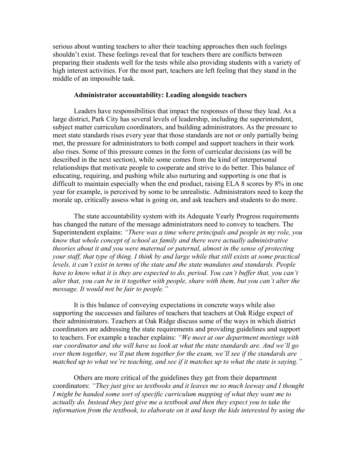serious about wanting teachers to alter their teaching approaches then such feelings shouldn't exist. These feelings reveal that for teachers there are conflicts between preparing their students well for the tests while also providing students with a variety of high interest activities. For the most part, teachers are left feeling that they stand in the middle of an impossible task.

#### **Administrator accountability: Leading alongside teachers**

Leaders have responsibilities that impact the responses of those they lead. As a large district, Park City has several levels of leadership, including the superintendent, subject matter curriculum coordinators, and building administrators. As the pressure to meet state standards rises every year that those standards are not or only partially being met, the pressure for administrators to both compel and support teachers in their work also rises. Some of this pressure comes in the form of curricular decisions (as will be described in the next section), while some comes from the kind of interpersonal relationships that motivate people to cooperate and strive to do better. This balance of educating, requiring, and pushing while also nurturing and supporting is one that is difficult to maintain especially when the end product, raising ELA 8 scores by 8% in one year for example, is perceived by some to be unrealistic. Administrators need to keep the morale up, critically assess what is going on, and ask teachers and students to do more.

The state accountability system with its Adequate Yearly Progress requirements has changed the nature of the message administrators need to convey to teachers. The Superintendent explains: *"There was a time where principals and people in my role, you know that whole concept of school as family and there were actually administrative theories about it and you were maternal or paternal, almost in the sense of protecting your staff, that type of thing. I think by and large while that still exists at some practical levels, it can't exist in terms of the state and the state mandates and standards. People have to know what it is they are expected to do, period. You can't buffer that, you can't alter that, you can be in it together with people, share with them, but you can't alter the message. It would not be fair to people."* 

It is this balance of conveying expectations in concrete ways while also supporting the successes and failures of teachers that teachers at Oak Ridge expect of their administrators. Teachers at Oak Ridge discuss some of the ways in which district coordinators are addressing the state requirements and providing guidelines and support to teachers. For example a teacher explains: *"We meet at our department meetings with our coordinator and she will have us look at what the state standards are. And we'll go over them together, we'll put them together for the exam, we'll see if the standards are matched up to what we're teaching, and see if it matches up to what the state is saying."*

Others are more critical of the guidelines they get from their department coordinators: *"They just give us textbooks and it leaves me so much leeway and I thought*  I might be handed some sort of specific curriculum mapping of what they want me to *actually do. Instead they just give me a textbook and then they expect you to take the information from the textbook, to elaborate on it and keep the kids interested by using the*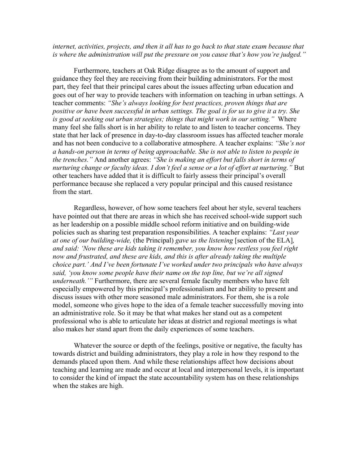*internet, activities, projects, and then it all has to go back to that state exam because that is where the administration will put the pressure on you cause that's how you're judged."* 

Furthermore, teachers at Oak Ridge disagree as to the amount of support and guidance they feel they are receiving from their building administrators. For the most part, they feel that their principal cares about the issues affecting urban education and goes out of her way to provide teachers with information on teaching in urban settings. A teacher comments: *"She's always looking for best practices, proven things that are positive or have been successful in urban settings. The goal is for us to give it a try. She is good at seeking out urban strategies; things that might work in our setting."* Where many feel she falls short is in her ability to relate to and listen to teacher concerns. They state that her lack of presence in day-to-day classroom issues has affected teacher morale and has not been conducive to a collaborative atmosphere. A teacher explains: *"She's not a hands-on person in terms of being approachable. She is not able to listen to people in the trenches."* And another agrees: *"She is making an effort but falls short in terms of nurturing change or faculty ideas. I don't feel a sense or a lot of effort at nurturing."* But other teachers have added that it is difficult to fairly assess their principal's overall performance because she replaced a very popular principal and this caused resistance from the start.

Regardless, however, of how some teachers feel about her style, several teachers have pointed out that there are areas in which she has received school-wide support such as her leadership on a possible middle school reform initiative and on building-wide policies such as sharing test preparation responsibilities. A teacher explains: *"Last year at one of our building-wide,* (the Principal) *gave us the listening* [section of the ELA]*, and said: 'Now these are kids taking it remember, you know how restless you feel right now and frustrated, and these are kids, and this is after already taking the multiple choice part.' And I've been fortunate I've worked under two principals who have always said, 'you know some people have their name on the top line, but we're all signed underneath.'"* Furthermore, there are several female faculty members who have felt especially empowered by this principal's professionalism and her ability to present and discuss issues with other more seasoned male administrators. For them, she is a role model, someone who gives hope to the idea of a female teacher successfully moving into an administrative role. So it may be that what makes her stand out as a competent professional who is able to articulate her ideas at district and regional meetings is what also makes her stand apart from the daily experiences of some teachers.

Whatever the source or depth of the feelings, positive or negative, the faculty has towards district and building administrators, they play a role in how they respond to the demands placed upon them. And while these relationships affect how decisions about teaching and learning are made and occur at local and interpersonal levels, it is important to consider the kind of impact the state accountability system has on these relationships when the stakes are high.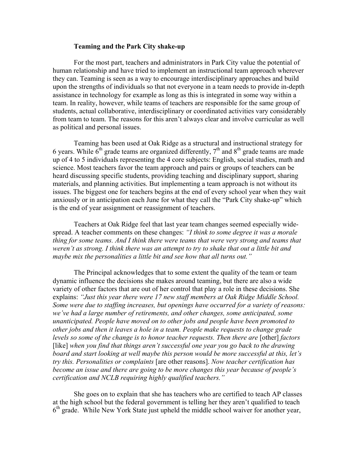#### **Teaming and the Park City shake-up**

For the most part, teachers and administrators in Park City value the potential of human relationship and have tried to implement an instructional team approach wherever they can. Teaming is seen as a way to encourage interdisciplinary approaches and build upon the strengths of individuals so that not everyone in a team needs to provide in-depth assistance in technology for example as long as this is integrated in some way within a team. In reality, however, while teams of teachers are responsible for the same group of students, actual collaborative, interdisciplinary or coordinated activities vary considerably from team to team. The reasons for this aren't always clear and involve curricular as well as political and personal issues.

Teaming has been used at Oak Ridge as a structural and instructional strategy for 6 years. While  $6<sup>th</sup>$  grade teams are organized differently,  $7<sup>th</sup>$  and  $8<sup>th</sup>$  grade teams are made up of 4 to 5 individuals representing the 4 core subjects: English, social studies, math and science. Most teachers favor the team approach and pairs or groups of teachers can be heard discussing specific students, providing teaching and disciplinary support, sharing materials, and planning activities. But implementing a team approach is not without its issues. The biggest one for teachers begins at the end of every school year when they wait anxiously or in anticipation each June for what they call the "Park City shake-up" which is the end of year assignment or reassignment of teachers.

Teachers at Oak Ridge feel that last year team changes seemed especially widespread. A teacher comments on these changes: *"I think to some degree it was a morale thing for some teams. And I think there were teams that were very strong and teams that weren't as strong. I think there was an attempt to try to shake that out a little bit and maybe mix the personalities a little bit and see how that all turns out."* 

The Principal acknowledges that to some extent the quality of the team or team dynamic influence the decisions she makes around teaming, but there are also a wide variety of other factors that are out of her control that play a role in these decisions. She explains: *"Just this year there were 17 new staff members at Oak Ridge Middle School. Some were due to staffing increases, but openings have occurred for a variety of reasons:*  we've had a large number of retirements, and other changes, some anticipated, some *unanticipated. People have moved on to other jobs and people have been promoted to other jobs and then it leaves a hole in a team. People make requests to change grade levels so some of the change is to honor teacher requests. Then there are* [other] *factors* [like] *when you find that things aren't successful one year you go back to the drawing board and start looking at well maybe this person would be more successful at this, let's try this. Personalities or complaints* [are other reasons]. *Now teacher certification has become an issue and there are going to be more changes this year because of people's certification and NCLB requiring highly qualified teachers."* 

She goes on to explain that she has teachers who are certified to teach AP classes at the high school but the federal government is telling her they aren't qualified to teach  $6<sup>th</sup>$  grade. While New York State just upheld the middle school waiver for another year,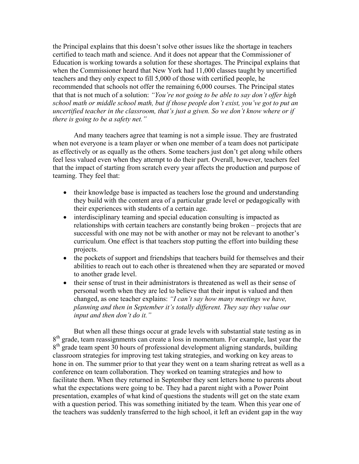the Principal explains that this doesn't solve other issues like the shortage in teachers certified to teach math and science. And it does not appear that the Commissioner of Education is working towards a solution for these shortages. The Principal explains that when the Commissioner heard that New York had 11,000 classes taught by uncertified teachers and they only expect to fill 5,000 of those with certified people, he recommended that schools not offer the remaining 6,000 courses. The Principal states that that is not much of a solution: *"You're not going to be able to say don't offer high school math or middle school math, but if those people don't exist, you've got to put an uncertified teacher in the classroom, that's just a given. So we don't know where or if there is going to be a safety net."* 

 And many teachers agree that teaming is not a simple issue. They are frustrated when not everyone is a team player or when one member of a team does not participate as effectively or as equally as the others. Some teachers just don't get along while others feel less valued even when they attempt to do their part. Overall, however, teachers feel that the impact of starting from scratch every year affects the production and purpose of teaming. They feel that:

- their knowledge base is impacted as teachers lose the ground and understanding they build with the content area of a particular grade level or pedagogically with their experiences with students of a certain age.
- interdisciplinary teaming and special education consulting is impacted as relationships with certain teachers are constantly being broken – projects that are successful with one may not be with another or may not be relevant to another's curriculum. One effect is that teachers stop putting the effort into building these projects.
- the pockets of support and friendships that teachers build for themselves and their abilities to reach out to each other is threatened when they are separated or moved to another grade level.
- their sense of trust in their administrators is threatened as well as their sense of personal worth when they are led to believe that their input is valued and then changed, as one teacher explains: *"I can't say how many meetings we have, planning and then in September it's totally different. They say they value our input and then don't do it."*

But when all these things occur at grade levels with substantial state testing as in 8<sup>th</sup> grade, team reassignments can create a loss in momentum. For example, last year the  $8<sup>th</sup>$  grade team spent 30 hours of professional development aligning standards, building classroom strategies for improving test taking strategies, and working on key areas to hone in on. The summer prior to that year they went on a team sharing retreat as well as a conference on team collaboration. They worked on teaming strategies and how to facilitate them. When they returned in September they sent letters home to parents about what the expectations were going to be. They had a parent night with a Power Point presentation, examples of what kind of questions the students will get on the state exam with a question period. This was something initiated by the team. When this year one of the teachers was suddenly transferred to the high school, it left an evident gap in the way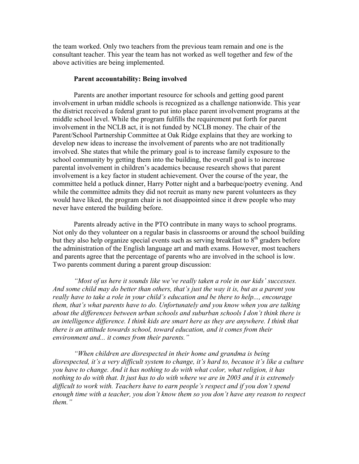the team worked. Only two teachers from the previous team remain and one is the consultant teacher. This year the team has not worked as well together and few of the above activities are being implemented.

#### **Parent accountability: Being involved**

Parents are another important resource for schools and getting good parent involvement in urban middle schools is recognized as a challenge nationwide. This year the district received a federal grant to put into place parent involvement programs at the middle school level. While the program fulfills the requirement put forth for parent involvement in the NCLB act, it is not funded by NCLB money. The chair of the Parent/School Partnership Committee at Oak Ridge explains that they are working to develop new ideas to increase the involvement of parents who are not traditionally involved. She states that while the primary goal is to increase family exposure to the school community by getting them into the building, the overall goal is to increase parental involvement in children's academics because research shows that parent involvement is a key factor in student achievement. Over the course of the year, the committee held a potluck dinner, Harry Potter night and a barbeque/poetry evening. And while the committee admits they did not recruit as many new parent volunteers as they would have liked, the program chair is not disappointed since it drew people who may never have entered the building before.

Parents already active in the PTO contribute in many ways to school programs. Not only do they volunteer on a regular basis in classrooms or around the school building but they also help organize special events such as serving breakfast to  $8<sup>th</sup>$  graders before the administration of the English language art and math exams. However, most teachers and parents agree that the percentage of parents who are involved in the school is low. Two parents comment during a parent group discussion:

*"Most of us here it sounds like we've really taken a role in our kids' successes. And some child may do better than others, that's just the way it is, but as a parent you really have to take a role in your child's education and be there to help..., encourage them, that's what parents have to do. Unfortunately and you know when you are talking about the differences between urban schools and suburban schools I don't think there is*  an intelligence difference. I think kids are smart here as they are anywhere. I think that *there is an attitude towards school, toward education, and it comes from their environment and... it comes from their parents."* 

*"When children are disrespected in their home and grandma is being disrespected, it's a very difficult system to change, it's hard to, because it's like a culture you have to change. And it has nothing to do with what color, what religion, it has nothing to do with that. It just has to do with where we are in 2003 and it is extremely difficult to work with. Teachers have to earn people's respect and if you don't spend enough time with a teacher, you don't know them so you don't have any reason to respect them."*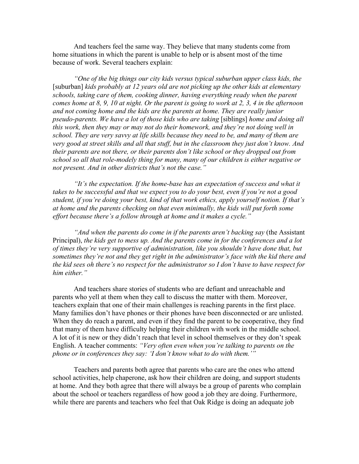And teachers feel the same way. They believe that many students come from home situations in which the parent is unable to help or is absent most of the time because of work. Several teachers explain:

*"One of the big things our city kids versus typical suburban upper class kids, the*  [suburban] *kids probably at 12 years old are not picking up the other kids at elementary schools, taking care of them, cooking dinner, having everything ready when the parent comes home at 8, 9, 10 at night. Or the parent is going to work at 2, 3, 4 in the afternoon and not coming home and the kids are the parents at home. They are really junior pseudo-parents. We have a lot of those kids who are taking* [siblings] *home and doing all this work, then they may or may not do their homework, and they're not doing well in school. They are very savvy at life skills because they need to be, and many of them are very good at street skills and all that stuff, but in the classroom they just don't know. And their parents are not there, or their parents don't like school or they dropped out from school so all that role-modely thing for many, many of our children is either negative or not present. And in other districts that's not the case."* 

*"It's the expectation. If the home-base has an expectation of success and what it takes to be successful and that we expect you to do your best, even if you're not a good student, if you're doing your best, kind of that work ethics, apply yourself notion. If that's at home and the parents checking on that even minimally, the kids will put forth some effort because there's a follow through at home and it makes a cycle."* 

*"And when the parents do come in if the parents aren't backing say* (the Assistant Principal), *the kids get to mess up. And the parents come in for the conferences and a lot of times they're very supportive of administration, like you shouldn't have done that, but sometimes they're not and they get right in the administrator's face with the kid there and the kid sees oh there's no respect for the administrator so I don't have to have respect for him either."* 

And teachers share stories of students who are defiant and unreachable and parents who yell at them when they call to discuss the matter with them. Moreover, teachers explain that one of their main challenges is reaching parents in the first place. Many families don't have phones or their phones have been disconnected or are unlisted. When they do reach a parent, and even if they find the parent to be cooperative, they find that many of them have difficulty helping their children with work in the middle school. A lot of it is new or they didn't reach that level in school themselves or they don't speak English. A teacher comments: *"Very often even when you're talking to parents on the phone or in conferences they say: 'I don't know what to do with them.'"* 

Teachers and parents both agree that parents who care are the ones who attend school activities, help chaperone, ask how their children are doing, and support students at home. And they both agree that there will always be a group of parents who complain about the school or teachers regardless of how good a job they are doing. Furthermore, while there are parents and teachers who feel that Oak Ridge is doing an adequate job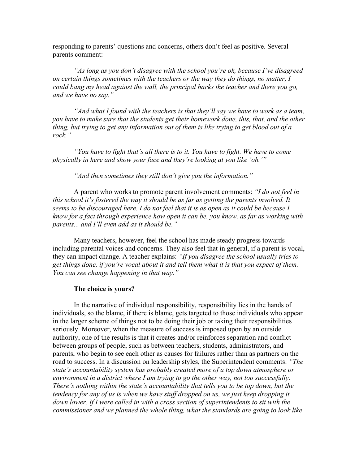responding to parents' questions and concerns, others don't feel as positive. Several parents comment:

*"As long as you don't disagree with the school you're ok, because I've disagreed on certain things sometimes with the teachers or the way they do things, no matter, I could bang my head against the wall, the principal backs the teacher and there you go, and we have no say."* 

*"And what I found with the teachers is that they'll say we have to work as a team, you have to make sure that the students get their homework done, this, that, and the other thing, but trying to get any information out of them is like trying to get blood out of a rock."* 

*"You have to fight that's all there is to it. You have to fight. We have to come physically in here and show your face and they're looking at you like 'oh.'"* 

*"And then sometimes they still don't give you the information."* 

A parent who works to promote parent involvement comments: *"I do not feel in this school it's fostered the way it should be as far as getting the parents involved. It seems to be discouraged here. I do not feel that it is as open as it could be because I know for a fact through experience how open it can be, you know, as far as working with parents... and I'll even add as it should be."* 

Many teachers, however, feel the school has made steady progress towards including parental voices and concerns. They also feel that in general, if a parent is vocal, they can impact change. A teacher explains: *"If you disagree the school usually tries to get things done, if you're vocal about it and tell them what it is that you expect of them. You can see change happening in that way."* 

#### **The choice is yours?**

In the narrative of individual responsibility, responsibility lies in the hands of individuals, so the blame, if there is blame, gets targeted to those individuals who appear in the larger scheme of things not to be doing their job or taking their responsibilities seriously. Moreover, when the measure of success is imposed upon by an outside authority, one of the results is that it creates and/or reinforces separation and conflict between groups of people, such as between teachers, students, administrators, and parents, who begin to see each other as causes for failures rather than as partners on the road to success. In a discussion on leadership styles, the Superintendent comments: *"The state's accountability system has probably created more of a top down atmosphere or environment in a district where I am trying to go the other way, not too successfully. There's nothing within the state's accountability that tells you to be top down, but the tendency for any of us is when we have stuff dropped on us, we just keep dropping it down lower. If I were called in with a cross section of superintendents to sit with the commissioner and we planned the whole thing, what the standards are going to look like*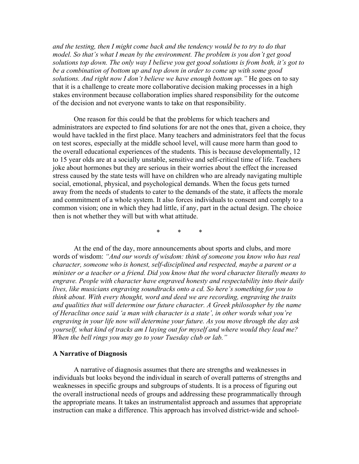*and the testing, then I might come back and the tendency would be to try to do that model. So that's what I mean by the environment. The problem is you don't get good solutions top down. The only way I believe you get good solutions is from both, it's got to be a combination of bottom up and top down in order to come up with some good solutions. And right now I don't believe we have enough bottom up."* He goes on to say that it is a challenge to create more collaborative decision making processes in a high stakes environment because collaboration implies shared responsibility for the outcome of the decision and not everyone wants to take on that responsibility.

One reason for this could be that the problems for which teachers and administrators are expected to find solutions for are not the ones that, given a choice, they would have tackled in the first place. Many teachers and administrators feel that the focus on test scores, especially at the middle school level, will cause more harm than good to the overall educational experiences of the students. This is because developmentally, 12 to 15 year olds are at a socially unstable, sensitive and self-critical time of life. Teachers joke about hormones but they are serious in their worries about the effect the increased stress caused by the state tests will have on children who are already navigating multiple social, emotional, physical, and psychological demands. When the focus gets turned away from the needs of students to cater to the demands of the state, it affects the morale and commitment of a whole system. It also forces individuals to consent and comply to a common vision; one in which they had little, if any, part in the actual design. The choice then is not whether they will but with what attitude.

\* \* \*

At the end of the day, more announcements about sports and clubs, and more words of wisdom: *"And our words of wisdom: think of someone you know who has real character, someone who is honest, self-disciplined and respected, maybe a parent or a minister or a teacher or a friend. Did you know that the word character literally means to engrave. People with character have engraved honesty and respectability into their daily lives, like musicians engraving soundtracks onto a cd. So here's something for you to think about. With every thought, word and deed we are recording, engraving the traits and qualities that will determine our future character. A Greek philosopher by the name of Heraclitus once said 'a man with character is a state', in other words what you're engraving in your life now will determine your future. As you move through the day ask yourself, what kind of tracks am I laying out for myself and where would they lead me? When the bell rings you may go to your Tuesday club or lab."* 

#### **A Narrative of Diagnosis**

A narrative of diagnosis assumes that there are strengths and weaknesses in individuals but looks beyond the individual in search of overall patterns of strengths and weaknesses in specific groups and subgroups of students. It is a process of figuring out the overall instructional needs of groups and addressing these programmatically through the appropriate means. It takes an instrumentalist approach and assumes that appropriate instruction can make a difference. This approach has involved district-wide and school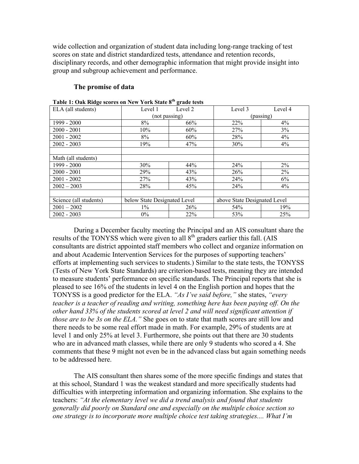wide collection and organization of student data including long-range tracking of test scores on state and district standardized tests, attendance and retention records, disciplinary records, and other demographic information that might provide insight into group and subgroup achievement and performance.

#### **The promise of data**

| $\bullet$<br>ELA (all students) | Level 1                      | Level 2 | Level 3                      | Level 4 |
|---------------------------------|------------------------------|---------|------------------------------|---------|
|                                 | (not passing)                |         | (passing)                    |         |
| $1999 - 2000$                   | 8%                           | 66%     | 22%                          | 4%      |
| $2000 - 2001$                   | 10%                          | 60%     | 27%                          | 3%      |
| $2001 - 2002$                   | 8%                           | 60%     | 28%                          | 4%      |
| $2002 - 2003$                   | 19%                          | 47%     | 30%                          | 4%      |
|                                 |                              |         |                              |         |
| Math (all students)             |                              |         |                              |         |
| $1999 - 2000$                   | 30%                          | 44%     | 24%                          | $2\%$   |
| $2000 - 2001$                   | 29%                          | 43%     | 26%                          | 2%      |
| $2001 - 2002$                   | 27%                          | 43%     | 24%                          | 6%      |
| $2002 - 2003$                   | 28%                          | 45%     | 24%                          | 4%      |
|                                 |                              |         |                              |         |
| Science (all students)          | below State Designated Level |         | above State Designated Level |         |
| $2001 - 2002$                   | $1\%$                        | 26%     | 54%                          | 19%     |
| $2002 - 2003$                   | $0\%$                        | 22%     | 53%                          | 25%     |

**Table 1: Oak Ridge scores on New York State 8th grade tests** 

During a December faculty meeting the Principal and an AIS consultant share the results of the TONYSS which were given to all  $8<sup>th</sup>$  graders earlier this fall. (AIS consultants are district appointed staff members who collect and organize information on and about Academic Intervention Services for the purposes of supporting teachers' efforts at implementing such services to students.) Similar to the state tests, the TONYSS (Tests of New York State Standards) are criterion-based tests, meaning they are intended to measure students' performance on specific standards. The Principal reports that she is pleased to see 16% of the students in level 4 on the English portion and hopes that the TONYSS is a good predictor for the ELA. *"As I've said before,"* she states, *"every teacher is a teacher of reading and writing, something here has been paying off. On the other hand 33% of the students scored at level 2 and will need significant attention if those are to be 3s on the ELA."* She goes on to state that math scores are still low and there needs to be some real effort made in math. For example, 29% of students are at level 1 and only 25% at level 3. Furthermore, she points out that there are 30 students who are in advanced math classes, while there are only 9 students who scored a 4. She comments that these 9 might not even be in the advanced class but again something needs to be addressed here.

The AIS consultant then shares some of the more specific findings and states that at this school, Standard 1 was the weakest standard and more specifically students had difficulties with interpreting information and organizing information. She explains to the teachers: *"At the elementary level we did a trend analysis and found that students generally did poorly on Standard one and especially on the multiple choice section so one strategy is to incorporate more multiple choice test taking strategies.... What I'm*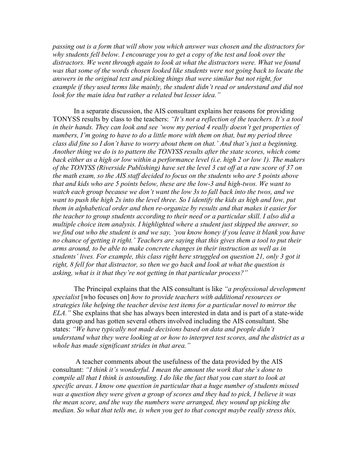*passing out is a form that will show you which answer was chosen and the distractors for why students fell below. I encourage you to get a copy of the test and look over the distractors. We went through again to look at what the distractors were. What we found was that some of the words chosen looked like students were not going back to locate the answers in the original text and picking things that were similar but not right, for example if they used terms like mainly, the student didn't read or understand and did not look for the main idea but rather a related but lesser idea."* 

In a separate discussion, the AIS consultant explains her reasons for providing TONYSS results by class to the teachers: *"It's not a reflection of the teachers. It's a tool in their hands. They can look and see 'wow my period 4 really doesn't get properties of numbers, I'm going to have to do a little more with them on that, but my period three class did fine so I don't have to worry about them on that.' And that's just a beginning. Another thing we do is to pattern the TONYSS results after the state scores, which come back either as a high or low within a performance level (i.e. high 2 or low 1). The makers of the TONYSS (Riverside Publishing) have set the level 3 cut off at a raw score of 37 on the math exam, so the AIS staff decided to focus on the students who are 5 points above that and kids who are 5 points below, these are the low-3 and high-twos. We want to watch each group because we don't want the low 3s to fall back into the twos, and we want to push the high 2s into the level three. So I identify the kids as high and low, put them in alphabetical order and then re-organize by results and that makes it easier for the teacher to group students according to their need or a particular skill. I also did a multiple choice item analysis. I highlighted where a student just skipped the answer, so we find out who the student is and we say, 'you know honey if you leave it blank you have no chance of getting it right.' Teachers are saying that this gives them a tool to put their arms around, to be able to make concrete changes in their instruction as well as in students' lives. For example, this class right here struggled on question 21, only 3 got it right, 8 fell for that distractor, so then we go back and look at what the question is asking, what is it that they're not getting in that particular process?"* 

The Principal explains that the AIS consultant is like *"a professional development specialist* [who focuses on] *how to provide teachers with additional resources or strategies like helping the teacher devise test items for a particular novel to mirror the ELA."* She explains that she has always been interested in data and is part of a state-wide data group and has gotten several others involved including the AIS consultant. She states: *"We have typically not made decisions based on data and people didn't understand what they were looking at or how to interpret test scores, and the district as a whole has made significant strides in that area."* 

 A teacher comments about the usefulness of the data provided by the AIS consultant: *"I think it's wonderful. I mean the amount the work that she's done to compile all that I think is astounding. I do like the fact that you can start to look at specific areas. I know one question in particular that a huge number of students missed was a question they were given a group of scores and they had to pick, I believe it was the mean score, and the way the numbers were arranged, they wound up picking the median. So what that tells me, is when you get to that concept maybe really stress this,*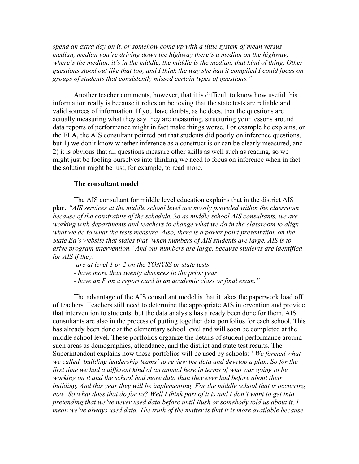*spend an extra day on it, or somehow come up with a little system of mean versus median, median you're driving down the highway there's a median on the highway, where's the median, it's in the middle, the middle is the median, that kind of thing. Other questions stood out like that too, and I think the way she had it compiled I could focus on groups of students that consistently missed certain types of questions."* 

Another teacher comments, however, that it is difficult to know how useful this information really is because it relies on believing that the state tests are reliable and valid sources of information. If you have doubts, as he does, that the questions are actually measuring what they say they are measuring, structuring your lessons around data reports of performance might in fact make things worse. For example he explains, on the ELA, the AIS consultant pointed out that students did poorly on inference questions, but 1) we don't know whether inference as a construct is or can be clearly measured, and 2) it is obvious that all questions measure other skills as well such as reading, so we might just be fooling ourselves into thinking we need to focus on inference when in fact the solution might be just, for example, to read more.

#### **The consultant model**

The AIS consultant for middle level education explains that in the district AIS plan, *"AIS services at the middle school level are mostly provided within the classroom because of the constraints of the schedule. So as middle school AIS consultants, we are working with departments and teachers to change what we do in the classroom to align what we do to what the tests measure. Also, there is a power point presentation on the State Ed's website that states that 'when numbers of AIS students are large, AIS is to drive program intervention.' And our numbers are large, because students are identified for AIS if they:* 

*-are at level 1 or 2 on the TONYSS or state tests* 

*- have more than twenty absences in the prior year* 

*- have an F on a report card in an academic class or final exam."* 

The advantage of the AIS consultant model is that it takes the paperwork load off of teachers. Teachers still need to determine the appropriate AIS intervention and provide that intervention to students, but the data analysis has already been done for them. AIS consultants are also in the process of putting together data portfolios for each school. This has already been done at the elementary school level and will soon be completed at the middle school level. These portfolios organize the details of student performance around such areas as demographics, attendance, and the district and state test results. The Superintendent explains how these portfolios will be used by schools: *"We formed what we called 'building leadership teams' to review the data and develop a plan. So for the first time we had a different kind of an animal here in terms of who was going to be working on it and the school had more data than they ever had before about their building. And this year they will be implementing. For the middle school that is occurring*  now. So what does that do for us? Well I think part of it is and I don't want to get into *pretending that we've never used data before until Bush or somebody told us about it, I mean we've always used data. The truth of the matter is that it is more available because*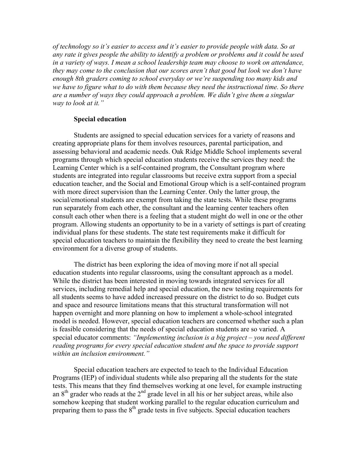*of technology so it's easier to access and it's easier to provide people with data. So at any rate it gives people the ability to identify a problem or problems and it could be used in a variety of ways. I mean a school leadership team may choose to work on attendance, they may come to the conclusion that our scores aren't that good but look we don't have enough 8th graders coming to school everyday or we're suspending too many kids and we have to figure what to do with them because they need the instructional time. So there are a number of ways they could approach a problem. We didn't give them a singular way to look at it."* 

### **Special education**

Students are assigned to special education services for a variety of reasons and creating appropriate plans for them involves resources, parental participation, and assessing behavioral and academic needs. Oak Ridge Middle School implements several programs through which special education students receive the services they need: the Learning Center which is a self-contained program, the Consultant program where students are integrated into regular classrooms but receive extra support from a special education teacher, and the Social and Emotional Group which is a self-contained program with more direct supervision than the Learning Center. Only the latter group, the social/emotional students are exempt from taking the state tests. While these programs run separately from each other, the consultant and the learning center teachers often consult each other when there is a feeling that a student might do well in one or the other program. Allowing students an opportunity to be in a variety of settings is part of creating individual plans for these students. The state test requirements make it difficult for special education teachers to maintain the flexibility they need to create the best learning environment for a diverse group of students.

The district has been exploring the idea of moving more if not all special education students into regular classrooms, using the consultant approach as a model. While the district has been interested in moving towards integrated services for all services, including remedial help and special education, the new testing requirements for all students seems to have added increased pressure on the district to do so. Budget cuts and space and resource limitations means that this structural transformation will not happen overnight and more planning on how to implement a whole-school integrated model is needed. However, special education teachers are concerned whether such a plan is feasible considering that the needs of special education students are so varied. A special educator comments: *"Implementing inclusion is a big project – you need different*  reading programs for every special education student and the space to provide support *within an inclusion environment."*

Special education teachers are expected to teach to the Individual Education Programs (IEP) of individual students while also preparing all the students for the state tests. This means that they find themselves working at one level, for example instructing an  $8<sup>th</sup>$  grader who reads at the  $2<sup>nd</sup>$  grade level in all his or her subject areas, while also somehow keeping that student working parallel to the regular education curriculum and preparing them to pass the  $8<sup>th</sup>$  grade tests in five subjects. Special education teachers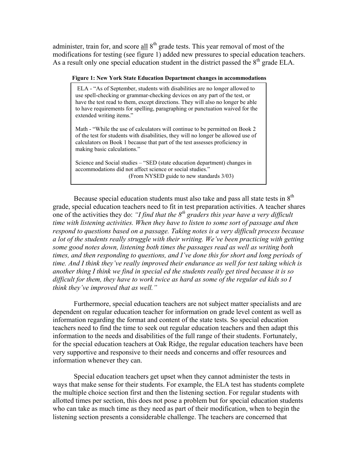administer, train for, and score  $\underline{\text{all}} 8^{\text{th}}$  grade tests. This year removal of most of the modifications for testing (see figure 1) added new pressures to special education teachers. As a result only one special education student in the district passed the  $8<sup>th</sup>$  grade ELA.

### **Figure 1: New York State Education Department changes in accommodations**

ELA - "As of September, students with disabilities are no longer allowed to use spell-checking or grammar-checking devices on any part of the test, or have the test read to them, except directions. They will also no longer be able to have requirements for spelling, paragraphing or punctuation waived for the extended writing items."

Math - "While the use of calculators will continue to be permitted on Book 2 of the test for students with disabilities, they will no longer be allowed use of calculators on Book 1 because that part of the test assesses proficiency in making basic calculations."

Science and Social studies – "SED (state education department) changes in accommodations did not affect science or social studies." (From NYSED guide to new standards 3/03)

Because special education students must also take and pass all state tests in  $8<sup>th</sup>$ grade, special education teachers need to fit in test preparation activities. A teacher shares one of the activities they do: *"I find that the 8<sup>th</sup> graders this year have a very difficult time with listening activities. When they have to listen to some sort of passage and then respond to questions based on a passage. Taking notes is a very difficult process because a lot of the students really struggle with their writing. We've been practicing with getting some good notes down, listening both times the passages read as well as writing both times, and then responding to questions, and I've done this for short and long periods of time. And I think they've really improved their endurance as well for test taking which is another thing I think we find in special ed the students really get tired because it is so difficult for them, they have to work twice as hard as some of the regular ed kids so I think they've improved that as well."* 

Furthermore, special education teachers are not subject matter specialists and are dependent on regular education teacher for information on grade level content as well as information regarding the format and content of the state tests. So special education teachers need to find the time to seek out regular education teachers and then adapt this information to the needs and disabilities of the full range of their students. Fortunately, for the special education teachers at Oak Ridge, the regular education teachers have been very supportive and responsive to their needs and concerns and offer resources and information whenever they can.

Special education teachers get upset when they cannot administer the tests in ways that make sense for their students. For example, the ELA test has students complete the multiple choice section first and then the listening section. For regular students with allotted times per section, this does not pose a problem but for special education students who can take as much time as they need as part of their modification, when to begin the listening section presents a considerable challenge. The teachers are concerned that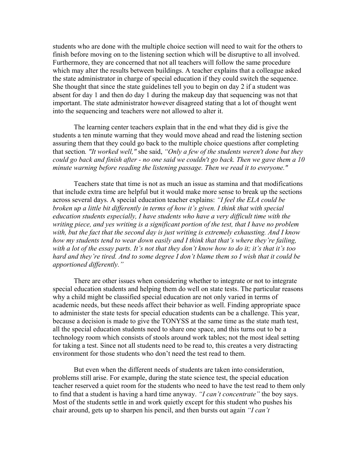students who are done with the multiple choice section will need to wait for the others to finish before moving on to the listening section which will be disruptive to all involved. Furthermore, they are concerned that not all teachers will follow the same procedure which may alter the results between buildings. A teacher explains that a colleague asked the state administrator in charge of special education if they could switch the sequence. She thought that since the state guidelines tell you to begin on day 2 if a student was absent for day 1 and then do day 1 during the makeup day that sequencing was not that important. The state administrator however disagreed stating that a lot of thought went into the sequencing and teachers were not allowed to alter it.

The learning center teachers explain that in the end what they did is give the students a ten minute warning that they would move ahead and read the listening section assuring them that they could go back to the multiple choice questions after completing that section*. "It worked well,"* she said, *"Only a few of the students weren't done but they could go back and finish after - no one said we couldn't go back. Then we gave them a 10 minute warning before reading the listening passage. Then we read it to everyone."* 

Teachers state that time is not as much an issue as stamina and that modifications that include extra time are helpful but it would make more sense to break up the sections across several days. A special education teacher explains: *"I feel the ELA could be broken up a little bit differently in terms of how it's given. I think that with special education students especially, I have students who have a very difficult time with the writing piece, and yes writing is a significant portion of the test, that I have no problem with, but the fact that the second day is just writing is extremely exhausting. And I know how my students tend to wear down easily and I think that that's where they're failing, with a lot of the essay parts. It's not that they don't know how to do it; it's that it's too hard and they're tired. And to some degree I don't blame them so I wish that it could be apportioned differently."* 

 There are other issues when considering whether to integrate or not to integrate special education students and helping them do well on state tests. The particular reasons why a child might be classified special education are not only varied in terms of academic needs, but these needs affect their behavior as well. Finding appropriate space to administer the state tests for special education students can be a challenge. This year, because a decision is made to give the TONYSS at the same time as the state math test, all the special education students need to share one space, and this turns out to be a technology room which consists of stools around work tables; not the most ideal setting for taking a test. Since not all students need to be read to, this creates a very distracting environment for those students who don't need the test read to them.

But even when the different needs of students are taken into consideration, problems still arise. For example, during the state science test, the special education teacher reserved a quiet room for the students who need to have the test read to them only to find that a student is having a hard time anyway. *"I can't concentrate"* the boy says. Most of the students settle in and work quietly except for this student who pushes his chair around, gets up to sharpen his pencil, and then bursts out again *"I can't*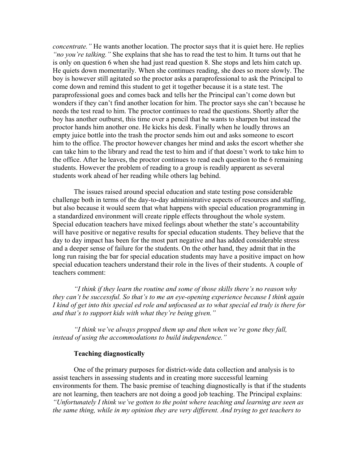*concentrate.*" He wants another location. The proctor says that it is quiet here. He replies *"no you're talking."* She explains that she has to read the test to him. It turns out that he is only on question 6 when she had just read question 8. She stops and lets him catch up. He quiets down momentarily. When she continues reading, she does so more slowly. The boy is however still agitated so the proctor asks a paraprofessional to ask the Principal to come down and remind this student to get it together because it is a state test. The paraprofessional goes and comes back and tells her the Principal can't come down but wonders if they can't find another location for him. The proctor says she can't because he needs the test read to him. The proctor continues to read the questions. Shortly after the boy has another outburst, this time over a pencil that he wants to sharpen but instead the proctor hands him another one. He kicks his desk. Finally when he loudly throws an empty juice bottle into the trash the proctor sends him out and asks someone to escort him to the office. The proctor however changes her mind and asks the escort whether she can take him to the library and read the test to him and if that doesn't work to take him to the office. After he leaves, the proctor continues to read each question to the 6 remaining students. However the problem of reading to a group is readily apparent as several students work ahead of her reading while others lag behind.

The issues raised around special education and state testing pose considerable challenge both in terms of the day-to-day administrative aspects of resources and staffing, but also because it would seem that what happens with special education programming in a standardized environment will create ripple effects throughout the whole system. Special education teachers have mixed feelings about whether the state's accountability will have positive or negative results for special education students. They believe that the day to day impact has been for the most part negative and has added considerable stress and a deeper sense of failure for the students. On the other hand, they admit that in the long run raising the bar for special education students may have a positive impact on how special education teachers understand their role in the lives of their students. A couple of teachers comment:

*"I think if they learn the routine and some of those skills there's no reason why they can't be successful. So that's to me an eye-opening experience because I think again I kind of get into this special ed role and unfocused as to what special ed truly is there for and that's to support kids with what they're being given."* 

*"I think we've always propped them up and then when we're gone they fall, instead of using the accommodations to build independence."* 

### **Teaching diagnostically**

One of the primary purposes for district-wide data collection and analysis is to assist teachers in assessing students and in creating more successful learning environments for them. The basic premise of teaching diagnostically is that if the students are not learning, then teachers are not doing a good job teaching. The Principal explains: *"Unfortunately I think we've gotten to the point where teaching and learning are seen as the same thing, while in my opinion they are very different. And trying to get teachers to*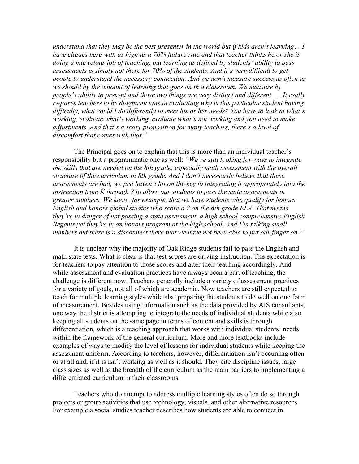*understand that they may be the best presenter in the world but if kids aren't learning… I have classes here with as high as a 70% failure rate and that teacher thinks he or she is doing a marvelous job of teaching, but learning as defined by students' ability to pass assessments is simply not there for 70% of the students. And it's very difficult to get people to understand the necessary connection. And we don't measure success as often as we should by the amount of learning that goes on in a classroom. We measure by people's ability to present and those two things are very distinct and different. … It really requires teachers to be diagnosticians in evaluating why is this particular student having difficulty, what could I do differently to meet his or her needs? You have to look at what's working, evaluate what's working, evaluate what's not working and you need to make adjustments. And that's a scary proposition for many teachers, there's a level of discomfort that comes with that."* 

The Principal goes on to explain that this is more than an individual teacher's responsibility but a programmatic one as well: *"We're still looking for ways to integrate the skills that are needed on the 8th grade, especially math assessment with the overall structure of the curriculum in 8th grade. And I don't necessarily believe that these assessments are bad, we just haven't hit on the key to integrating it appropriately into the instruction from K through 8 to allow our students to pass the state assessments in greater numbers. We know, for example, that we have students who qualify for honors English and honors global studies who score a 2 on the 8th grade ELA. That means they're in danger of not passing a state assessment, a high school comprehensive English Regents yet they're in an honors program at the high school. And I'm talking small numbers but there is a disconnect there that we have not been able to put our finger on."* 

It is unclear why the majority of Oak Ridge students fail to pass the English and math state tests. What is clear is that test scores are driving instruction. The expectation is for teachers to pay attention to those scores and alter their teaching accordingly. And while assessment and evaluation practices have always been a part of teaching, the challenge is different now. Teachers generally include a variety of assessment practices for a variety of goals, not all of which are academic. Now teachers are still expected to teach for multiple learning styles while also preparing the students to do well on one form of measurement. Besides using information such as the data provided by AIS consultants, one way the district is attempting to integrate the needs of individual students while also keeping all students on the same page in terms of content and skills is through differentiation, which is a teaching approach that works with individual students' needs within the framework of the general curriculum. More and more textbooks include examples of ways to modify the level of lessons for individual students while keeping the assessment uniform. According to teachers, however, differentiation isn't occurring often or at all and, if it is isn't working as well as it should. They cite discipline issues, large class sizes as well as the breadth of the curriculum as the main barriers to implementing a differentiated curriculum in their classrooms.

Teachers who do attempt to address multiple learning styles often do so through projects or group activities that use technology, visuals, and other alternative resources. For example a social studies teacher describes how students are able to connect in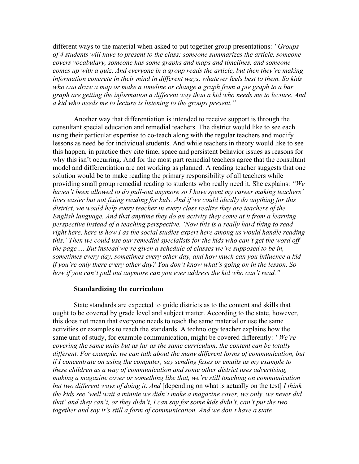different ways to the material when asked to put together group presentations: *"Groups of 4 students will have to present to the class: someone summarizes the article, someone covers vocabulary, someone has some graphs and maps and timelines, and someone comes up with a quiz. And everyone in a group reads the article, but then they're making information concrete in their mind in different ways, whatever feels best to them. So kids who can draw a map or make a timeline or change a graph from a pie graph to a bar graph are getting the information a different way than a kid who needs me to lecture. And a kid who needs me to lecture is listening to the groups present."* 

Another way that differentiation is intended to receive support is through the consultant special education and remedial teachers. The district would like to see each using their particular expertise to co-teach along with the regular teachers and modify lessons as need be for individual students. And while teachers in theory would like to see this happen, in practice they cite time, space and persistent behavior issues as reasons for why this isn't occurring. And for the most part remedial teachers agree that the consultant model and differentiation are not working as planned. A reading teacher suggests that one solution would be to make reading the primary responsibility of all teachers while providing small group remedial reading to students who really need it. She explains: *"We haven't been allowed to do pull-out anymore so I have spent my career making teachers' lives easier but not fixing reading for kids. And if we could ideally do anything for this district, we would help every teacher in every class realize they are teachers of the English language. And that anytime they do an activity they come at it from a learning perspective instead of a teaching perspective. 'Now this is a really hard thing to read right here, here is how I as the social studies expert here among us would handle reading this.' Then we could use our remedial specialists for the kids who can't get the word off the page…. But instead we're given a schedule of classes we're supposed to be in, sometimes every day, sometimes every other day, and how much can you influence a kid if you're only there every other day? You don't know what's going on in the lesson. So how if you can't pull out anymore can you ever address the kid who can't read."* 

#### **Standardizing the curriculum**

State standards are expected to guide districts as to the content and skills that ought to be covered by grade level and subject matter. According to the state, however, this does not mean that everyone needs to teach the same material or use the same activities or examples to reach the standards. A technology teacher explains how the same unit of study, for example communication, might be covered differently: *"We're covering the same units but as far as the same curriculum, the content can be totally different. For example, we can talk about the many different forms of communication, but if I concentrate on using the computer, say sending faxes or emails as my example to these children as a way of communication and some other district uses advertising, making a magazine cover or something like that, we're still touching on communication but two different ways of doing it. And* [depending on what is actually on the test] *I think the kids see 'well wait a minute we didn't make a magazine cover, we only, we never did that' and they can't, or they didn't, I can say for some kids didn't, can't put the two together and say it's still a form of communication. And we don't have a state*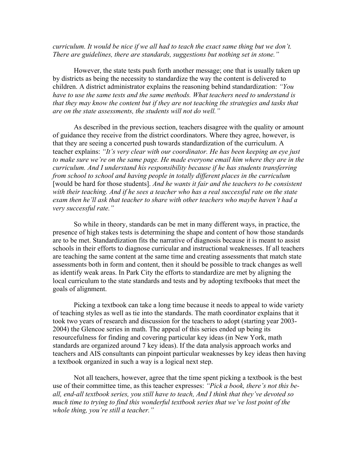*curriculum. It would be nice if we all had to teach the exact same thing but we don't. There are guidelines, there are standards, suggestions but nothing set in stone."* 

However, the state tests push forth another message; one that is usually taken up by districts as being the necessity to standardize the way the content is delivered to children. A district administrator explains the reasoning behind standardization: *"You have to use the same tests and the same methods. What teachers need to understand is that they may know the content but if they are not teaching the strategies and tasks that are on the state assessments, the students will not do well."* 

As described in the previous section, teachers disagree with the quality or amount of guidance they receive from the district coordinators. Where they agree, however, is that they are seeing a concerted push towards standardization of the curriculum. A teacher explains: *"It's very clear with our coordinator. He has been keeping an eye just to make sure we're on the same page. He made everyone email him where they are in the curriculum. And I understand his responsibility because if he has students transferring from school to school and having people in totally different places in the curriculum*  [would be hard for those students]. *And he wants it fair and the teachers to be consistent*  with their teaching. And if he sees a teacher who has a real successful rate on the state *exam then he'll ask that teacher to share with other teachers who maybe haven't had a very successful rate."*

So while in theory, standards can be met in many different ways, in practice, the presence of high stakes tests is determining the shape and content of how those standards are to be met. Standardization fits the narrative of diagnosis because it is meant to assist schools in their efforts to diagnose curricular and instructional weaknesses. If all teachers are teaching the same content at the same time and creating assessments that match state assessments both in form and content, then it should be possible to track changes as well as identify weak areas. In Park City the efforts to standardize are met by aligning the local curriculum to the state standards and tests and by adopting textbooks that meet the goals of alignment.

Picking a textbook can take a long time because it needs to appeal to wide variety of teaching styles as well as tie into the standards. The math coordinator explains that it took two years of research and discussion for the teachers to adopt (starting year 2003- 2004) the Glencoe series in math. The appeal of this series ended up being its resourcefulness for finding and covering particular key ideas (in New York, math standards are organized around 7 key ideas). If the data analysis approach works and teachers and AIS consultants can pinpoint particular weaknesses by key ideas then having a textbook organized in such a way is a logical next step.

Not all teachers, however, agree that the time spent picking a textbook is the best use of their committee time, as this teacher expresses: *"Pick a book, there's not this beall, end-all textbook series, you still have to teach, And I think that they've devoted so much time to trying to find this wonderful textbook series that we've lost point of the whole thing, you're still a teacher."*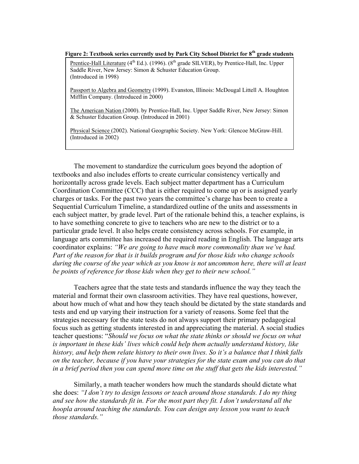## **Figure 2: Textbook series currently used by Park City School District for 8th grade students**

Prentice-Hall Literature  $(4^{th}$  Ed.).  $(1996)$ .  $(8^{th}$  grade SILVER), by Prentice-Hall, Inc. Upper Saddle River, New Jersey: Simon & Schuster Education Group. (Introduced in 1998)

Passport to Algebra and Geometry (1999). Evanston, Illinois: McDougal Littell A. Houghton Mifflin Company. (Introduced in 2000)

The American Nation (2000). by Prentice-Hall, Inc. Upper Saddle River, New Jersey: Simon & Schuster Education Group. (Introduced in 2001)

Physical Science (2002). National Geographic Society. New York: Glencoe McGraw-Hill. (Introduced in 2002)

The movement to standardize the curriculum goes beyond the adoption of textbooks and also includes efforts to create curricular consistency vertically and horizontally across grade levels. Each subject matter department has a Curriculum Coordination Committee (CCC) that is either required to come up or is assigned yearly charges or tasks. For the past two years the committee's charge has been to create a Sequential Curriculum Timeline, a standardized outline of the units and assessments in each subject matter, by grade level. Part of the rationale behind this, a teacher explains, is to have something concrete to give to teachers who are new to the district or to a particular grade level. It also helps create consistency across schools. For example, in language arts committee has increased the required reading in English. The language arts coordinator explains: *"We are going to have much more commonality than we've had. Part of the reason for that is it builds program and for those kids who change schools during the course of the year which as you know is not uncommon here, there will at least be points of reference for those kids when they get to their new school."* 

Teachers agree that the state tests and standards influence the way they teach the material and format their own classroom activities. They have real questions, however, about how much of what and how they teach should be dictated by the state standards and tests and end up varying their instruction for a variety of reasons. Some feel that the strategies necessary for the state tests do not always support their primary pedagogical focus such as getting students interested in and appreciating the material. A social studies teacher questions: "*Should we focus on what the state thinks or should we focus on what is important in these kids' lives which could help them actually understand history, like history, and help them relate history to their own lives. So it's a balance that I think falls on the teacher, because if you have your strategies for the state exam and you can do that in a brief period then you can spend more time on the stuff that gets the kids interested."* 

 Similarly, a math teacher wonders how much the standards should dictate what she does: *"I don't try to design lessons or teach around those standards. I do my thing and see how the standards fit in. For the most part they fit. I don't understand all the hoopla around teaching the standards. You can design any lesson you want to teach those standards."*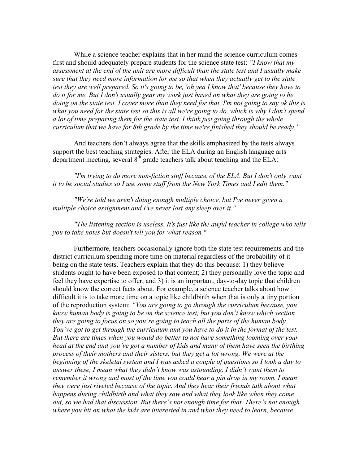While a science teacher explains that in her mind the science curriculum comes first and should adequately prepare students for the science state test: *"I know that my assessment at the end of the unit are more difficult than the state test and I usually make sure that they need more information for me so that when they actually get to the state test they are well prepared. So it's going to be, 'oh yea I know that' because they have to do it for me. But I don't usually gear my work just based on what they are going to be doing on the state test. I cover more than they need for that. I'm not going to say ok this is what you need for the state test so this is all we're going to do, which is why I don't spend a lot of time preparing them for the state test. I think just going through the whole curriculum that we have for 8th grade by the time we're finished they should be ready."* 

And teachers don't always agree that the skills emphasized by the tests always support the best teaching strategies. After the ELA during an English language arts department meeting, several  $8<sup>th</sup>$  grade teachers talk about teaching and the ELA:

*"I'm trying to do more non-fiction stuff because of the ELA. But I don't only want it to be social studies so I use some stuff from the New York Times and I edit them."*

*"We're told we aren't doing enough multiple choice, but I've never given a multiple choice assignment and I've never lost any sleep over it."* 

*"The listening section is useless. It's just like the awful teacher in college who tells you to take notes but doesn't tell you for what reason."* 

Furthermore, teachers occasionally ignore both the state test requirements and the district curriculum spending more time on material regardless of the probability of it being on the state tests. Teachers explain that they do this because: 1) they believe students ought to have been exposed to that content; 2) they personally love the topic and feel they have expertise to offer; and 3) it is an important, day-to-day topic that children should know the correct facts about. For example, a science teacher talks about how difficult it is to take more time on a topic like childbirth when that is only a tiny portion of the reproduction system: *"You are going to go through the curriculum because, you know human body is going to be on the science test, but you don't know which section they are going to focus on so you're going to teach all the parts of the human body. You've got to get through the curriculum and you have to do it in the format of the test. But there are times when you would do better to not have something looming over your head at the end and you've got a number of kids and many of them have seen the birthing process of their mothers and their sisters, but they get a lot wrong. We were at the beginning of the skeletal system and I was asked a couple of questions so I took a day to answer these, I mean what they didn't know was astounding. I didn't want them to remember it wrong and most of the time you could hear a pin drop in my room. I mean they were just riveted because of the topic. And they hear their friends talk about what happens during childbirth and what they saw and what they look like when they come out, so we had that discussion. But there's not enough time for that. There's not enough where you hit on what the kids are interested in and what they need to learn, because*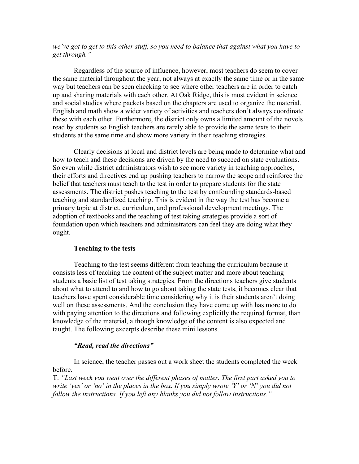*we've got to get to this other stuff, so you need to balance that against what you have to get through."* 

Regardless of the source of influence, however, most teachers do seem to cover the same material throughout the year, not always at exactly the same time or in the same way but teachers can be seen checking to see where other teachers are in order to catch up and sharing materials with each other. At Oak Ridge, this is most evident in science and social studies where packets based on the chapters are used to organize the material. English and math show a wider variety of activities and teachers don't always coordinate these with each other. Furthermore, the district only owns a limited amount of the novels read by students so English teachers are rarely able to provide the same texts to their students at the same time and show more variety in their teaching strategies.

Clearly decisions at local and district levels are being made to determine what and how to teach and these decisions are driven by the need to succeed on state evaluations. So even while district administrators wish to see more variety in teaching approaches, their efforts and directives end up pushing teachers to narrow the scope and reinforce the belief that teachers must teach to the test in order to prepare students for the state assessments. The district pushes teaching to the test by confounding standards-based teaching and standardized teaching. This is evident in the way the test has become a primary topic at district, curriculum, and professional development meetings. The adoption of textbooks and the teaching of test taking strategies provide a sort of foundation upon which teachers and administrators can feel they are doing what they ought.

#### **Teaching to the tests**

Teaching to the test seems different from teaching the curriculum because it consists less of teaching the content of the subject matter and more about teaching students a basic list of test taking strategies. From the directions teachers give students about what to attend to and how to go about taking the state tests, it becomes clear that teachers have spent considerable time considering why it is their students aren't doing well on these assessments. And the conclusion they have come up with has more to do with paying attention to the directions and following explicitly the required format, than knowledge of the material, although knowledge of the content is also expected and taught. The following excerpts describe these mini lessons.

## *"Read, read the directions"*

In science, the teacher passes out a work sheet the students completed the week before.

T: *"Last week you went over the different phases of matter. The first part asked you to write 'yes' or 'no' in the places in the box. If you simply wrote 'Y' or 'N' you did not follow the instructions. If you left any blanks you did not follow instructions."*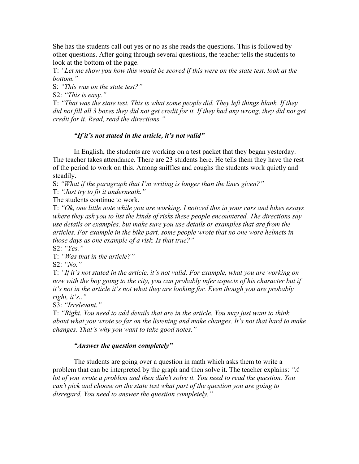She has the students call out yes or no as she reads the questions. This is followed by other questions. After going through several questions, the teacher tells the students to look at the bottom of the page.

T: *"Let me show you how this would be scored if this were on the state test, look at the bottom."* 

S: *"This was on the state test?"* 

S2: *"This is easy."* 

T: *"That was the state test. This is what some people did. They left things blank. If they did not fill all 3 boxes they did not get credit for it. If they had any wrong, they did not get credit for it. Read, read the directions."* 

# *"If it's not stated in the article, it's not valid"*

In English, the students are working on a test packet that they began yesterday. The teacher takes attendance. There are 23 students here. He tells them they have the rest of the period to work on this. Among sniffles and coughs the students work quietly and steadily.

S: *"What if the paragraph that I'm writing is longer than the lines given?"* 

T: *"Just try to fit it underneath."*

The students continue to work.

T: *"Ok, one little note while you are working. I noticed this in your cars and bikes essays where they ask you to list the kinds of risks these people encountered. The directions say use details or examples, but make sure you use details or examples that are from the articles. For example in the bike part, some people wrote that no one wore helmets in those days as one example of a risk. Is that true?"* 

S2: *"Yes."* 

T: *"Was that in the article?"* 

S2: *"No."* 

T: *"If it's not stated in the article, it's not valid. For example, what you are working on now with the boy going to the city, you can probably infer aspects of his character but if it's not in the article it's not what they are looking for. Even though you are probably right, it's.."* 

S3: *"Irrelevant."*

T: *"Right. You need to add details that are in the article. You may just want to think about what you wrote so far on the listening and make changes. It's not that hard to make changes. That's why you want to take good notes."* 

# *"Answer the question completely"*

The students are going over a question in math which asks them to write a problem that can be interpreted by the graph and then solve it. The teacher explains: *"A lot of you wrote a problem and then didn't solve it. You need to read the question. You can't pick and choose on the state test what part of the question you are going to disregard. You need to answer the question completely."*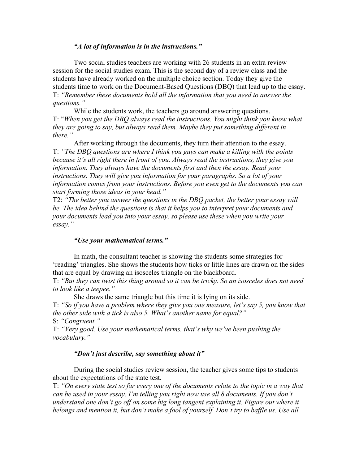# *"A lot of information is in the instructions."*

Two social studies teachers are working with 26 students in an extra review session for the social studies exam. This is the second day of a review class and the students have already worked on the multiple choice section. Today they give the students time to work on the Document-Based Questions (DBQ) that lead up to the essay. T: *"Remember these documents hold all the information that you need to answer the questions."*

While the students work, the teachers go around answering questions. T: "*When you get the DBQ always read the instructions. You might think you know what they are going to say, but always read them. Maybe they put something different in there."* 

After working through the documents, they turn their attention to the essay. T: *"The DBQ questions are where I think you guys can make a killing with the points because it's all right there in front of you. Always read the instructions, they give you information. They always have the documents first and then the essay. Read your instructions. They will give you information for your paragraphs. So a lot of your information comes from your instructions. Before you even get to the documents you can start forming those ideas in your head."* 

T2: *"The better you answer the questions in the DBQ packet, the better your essay will be. The idea behind the questions is that it helps you to interpret your documents and your documents lead you into your essay, so please use these when you write your essay."* 

### *"Use your mathematical terms."*

In math, the consultant teacher is showing the students some strategies for 'reading' triangles. She shows the students how ticks or little lines are drawn on the sides that are equal by drawing an isosceles triangle on the blackboard.

T: *"But they can twist this thing around so it can be tricky. So an isosceles does not need to look like a teepee."*

She draws the same triangle but this time it is lying on its side.

T: *"So if you have a problem where they give you one measure, let's say 5, you know that the other side with a tick is also 5. What's another name for equal?"* S: *"Congruent."* 

T: *"Very good. Use your mathematical terms, that's why we've been pushing the vocabulary."* 

### *"Don't just describe, say something about it"*

During the social studies review session, the teacher gives some tips to students about the expectations of the state test.

T: *"On every state test so far every one of the documents relate to the topic in a way that can be used in your essay. I'm telling you right now use all 8 documents. If you don't understand one don't go off on some big long tangent explaining it. Figure out where it belongs and mention it, but don't make a fool of yourself. Don't try to baffle us. Use all*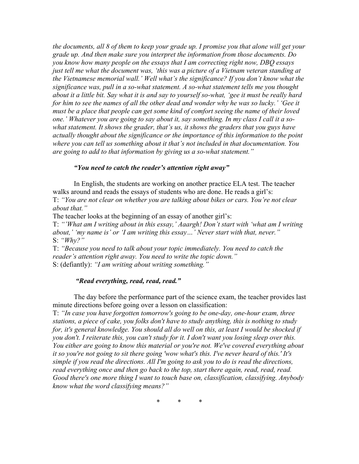*the documents, all 8 of them to keep your grade up. I promise you that alone will get your grade up. And then make sure you interpret the information from those documents. Do you know how many people on the essays that I am correcting right now, DBQ essays just tell me what the document was, 'this was a picture of a Vietnam veteran standing at the Vietnamese memorial wall.' Well what's the significance? If you don't know what the significance was, pull in a so-what statement. A so-what statement tells me you thought about it a little bit. Say what it is and say to yourself so-what, 'gee it must be really hard for him to see the names of all the other dead and wonder why he was so lucky.' 'Gee it must be a place that people can get some kind of comfort seeing the name of their loved one.' Whatever you are going to say about it, say something. In my class I call it a sowhat statement. It shows the grader, that's us, it shows the graders that you guys have actually thought about the significance or the importance of this information to the point where you can tell us something about it that's not included in that documentation. You are going to add to that information by giving us a so-what statement."* 

# *"You need to catch the reader's attention right away"*

In English, the students are working on another practice ELA test. The teacher walks around and reads the essays of students who are done. He reads a girl's: T: *"You are not clear on whether you are talking about bikes or cars. You're not clear about that."* 

The teacher looks at the beginning of an essay of another girl's:

T: *"'What am I writing about in this essay,' Aaargh! Don't start with 'what am I writing about,' 'my name is' or 'I am writing this essay…' Never start with that, never."*  S: *"Why?"* 

T: *"Because you need to talk about your topic immediately. You need to catch the reader's attention right away. You need to write the topic down."*  S: (defiantly): *"I am writing about writing something."* 

# *"Read everything, read, read, read."*

The day before the performance part of the science exam, the teacher provides last minute directions before going over a lesson on classification:

T: *"In case you have forgotten tomorrow's going to be one-day, one-hour exam, three stations, a piece of cake, you folks don't have to study anything, this is nothing to study for, it's general knowledge. You should all do well on this, at least I would be shocked if you don't. I reiterate this, you can't study for it. I don't want you losing sleep over this. You either are going to know this material or you're not. We've covered everything about it so you're not going to sit there going 'wow what's this. I've never heard of this.' It's simple if you read the directions. All I'm going to ask you to do is read the directions,*  read everything once and then go back to the top, start there again, read, read, read. *Good there's one more thing I want to touch base on, classification, classifying. Anybody know what the word classifying means?"* 

\* \* \*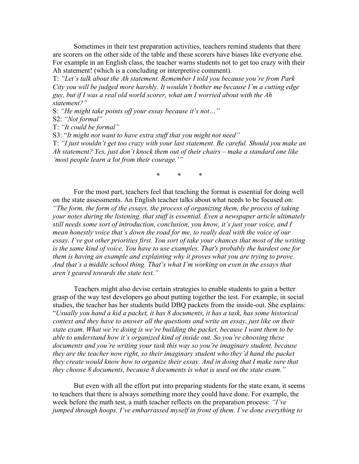Sometimes in their test preparation activities, teachers remind students that there are scorers on the other side of the table and these scorers have biases like everyone else. For example in an English class, the teacher warns students not to get too crazy with their Ah statement! (which is a concluding or interpretive comment).

T: *"Let's talk about the Ah statement. Remember I told you because you're from Park City you will be judged more harshly. It wouldn't bother me because I'm a cutting edge guy, but if I was a real old world scorer, what am I worried about with the Ah statement?"* 

S: *"He might take points off your essay because it's not…"* 

S2: *"Not formal"*

T: *"It could be formal"* 

S3: "*It might not want to have extra stuff that you might not need"*

T: *"I just wouldn't get too crazy with your last statement. Be careful. Should you make an Ah statement? Yes, just don't knock them out of their chairs – make a standard one like 'most people learn a lot from their courage.'"* 

\* \* \*

 For the most part, teachers feel that teaching the format is essential for doing well on the state assessments. An English teacher talks about what needs to be focused on: *"The form, the form of the essays, the process of organizing them, the process of taking your notes during the listening, that stuff is essential. Even a newspaper article ultimately still needs some sort of introduction, conclusion, you know, it's just your voice, and I mean honestly voice that's down the road for me, to really deal with the voice of our essay. I've got other priorities first. You sort of take your chances that most of the writing is the same kind of voice. You have to use examples. That's probably the hardest one for them is having an example and explaining why it proves what you are trying to prove. And that's a middle school thing. That's what I'm working on even in the essays that aren't geared towards the state test."* 

Teachers might also devise certain strategies to enable students to gain a better grasp of the way test developers go about putting together the test. For example, in social studies, the teacher has her students build DBQ packets from the inside-out. She explains: "*Usually you hand a kid a packet, it has 8 documents, it has a task, has some historical context and they have to answer all the questions and write an essay, just like on their state exam. What we're doing is we're building the packet, because I want them to be able to understand how it's organized kind of inside out. So you're choosing these documents and you're writing your task this way so you're imaginary student, because they are the teacher now right, so their imaginary student who they'd hand the packet they create would know how to organize their essay. And in doing that I make sure that they choose 8 documents, because 8 documents is what is used on the state exam."* 

But even with all the effort put into preparing students for the state exam, it seems to teachers that there is always something more they could have done. For example, the week before the math test, a math teacher reflects on the preparation process: *"I've jumped through hoops. I've embarrassed myself in front of them. I've done everything to*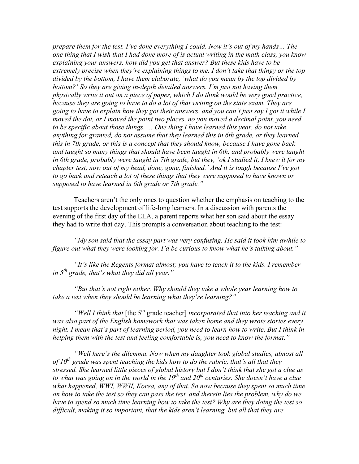*prepare them for the test. I've done everything I could. Now it's out of my hands… The one thing that I wish that I had done more of is actual writing in the math class, you know explaining your answers, how did you get that answer? But these kids have to be extremely precise when they're explaining things to me. I don't take that thingy or the top divided by the bottom, I have them elaborate, 'what do you mean by the top divided by bottom?' So they are giving in-depth detailed answers. I'm just not having them physically write it out on a piece of paper, which I do think would be very good practice, because they are going to have to do a lot of that writing on the state exam. They are going to have to explain how they got their answers, and you can't just say I got it while I moved the dot, or I moved the point two places, no you moved a decimal point, you need to be specific about those things. … One thing I have learned this year, do not take anything for granted, do not assume that they learned this in 6th grade, or they learned this in 7th grade, or this is a concept that they should know, because I have gone back and taught so many things that should have been taught in 6th, and probably were taught in 6th grade, probably were taught in 7th grade, but they, 'ok I studied it, I knew it for my chapter test, now out of my head, done, gone, finished.' And it is tough because I've got to go back and reteach a lot of these things that they were supposed to have known or supposed to have learned in 6th grade or 7th grade."* 

Teachers aren't the only ones to question whether the emphasis on teaching to the test supports the development of life-long learners. In a discussion with parents the evening of the first day of the ELA, a parent reports what her son said about the essay they had to write that day. This prompts a conversation about teaching to the test:

*"My son said that the essay part was very confusing. He said it took him awhile to figure out what they were looking for. I'd be curious to know what he's talking about."* 

 *"It's like the Regents format almost; you have to teach it to the kids. I remember in 5th grade, that's what they did all year."* 

 *"But that's not right either. Why should they take a whole year learning how to take a test when they should be learning what they're learning?"* 

*"Well I think that* [the 5<sup>th</sup> grade teacher] *incorporated that into her teaching and it was also part of the English homework that was taken home and they wrote stories every night. I mean that's part of learning period, you need to learn how to write. But I think in helping them with the test and feeling comfortable is, you need to know the format."* 

 *"Well here's the dilemma. Now when my daughter took global studies, almost all of 10th grade was spent teaching the kids how to do the rubric, that's all that they stressed. She learned little pieces of global history but I don't think that she got a clue as*  to what was going on in the world in the 19<sup>th</sup> and 20<sup>th</sup> centuries. She doesn't have a clue *what happened, WWI, WWII, Korea, any of that. So now because they spent so much time on how to take the test so they can pass the test, and therein lies the problem, why do we have to spend so much time learning how to take the test? Why are they doing the test so difficult, making it so important, that the kids aren't learning, but all that they are*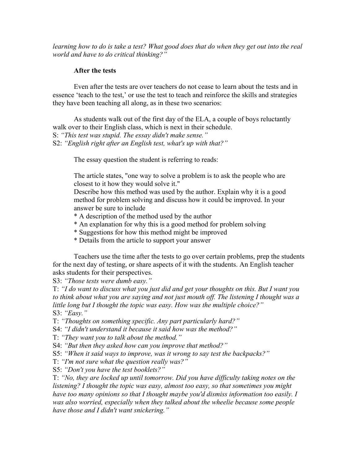learning how to do is take a test? What good does that do when they get out into the real *world and have to do critical thinking?"* 

# **After the tests**

Even after the tests are over teachers do not cease to learn about the tests and in essence 'teach to the test,' or use the test to teach and reinforce the skills and strategies they have been teaching all along, as in these two scenarios:

As students walk out of the first day of the ELA, a couple of boys reluctantly walk over to their English class, which is next in their schedule.

S: *"This test was stupid. The essay didn't make sense."* 

S2: *"English right after an English test, what's up with that?"* 

The essay question the student is referring to reads:

The article states, "one way to solve a problem is to ask the people who are closest to it how they would solve it."

Describe how this method was used by the author. Explain why it is a good method for problem solving and discuss how it could be improved. In your answer be sure to include

- \* A description of the method used by the author
- \* An explanation for why this is a good method for problem solving
- \* Suggestions for how this method might be improved
- \* Details from the article to support your answer

Teachers use the time after the tests to go over certain problems, prep the students for the next day of testing, or share aspects of it with the students. An English teacher asks students for their perspectives.

S3: *"Those tests were dumb easy."* 

T: *"I do want to discuss what you just did and get your thoughts on this. But I want you to think about what you are saying and not just mouth off. The listening I thought was a little long but I thought the topic was easy. How was the multiple choice?"*  S3: *"Easy."* 

T: *"Thoughts on something specific. Any part particularly hard?"*

S4: *"I didn't understand it because it said how was the method?"*

T: *"They want you to talk about the method."*

S4: *"But then they asked how can you improve that method?"* 

S5: *"When it said ways to improve, was it wrong to say test the backpacks?"*

T: *"I'm not sure what the question really was?"*

S5: *"Don't you have the test booklets?"* 

T: *"No, they are locked up until tomorrow. Did you have difficulty taking notes on the listening? I thought the topic was easy, almost too easy, so that sometimes you might have too many opinions so that I thought maybe you'd dismiss information too easily. I was also worried, especially when they talked about the wheelie because some people have those and I didn't want snickering."*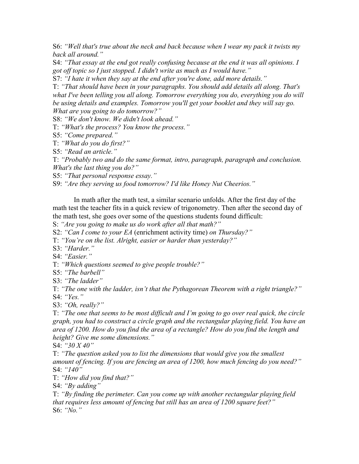S6: *"Well that's true about the neck and back because when I wear my pack it twists my back all around."* 

S4: *"That essay at the end got really confusing because at the end it was all opinions. I got off topic so I just stopped. I didn't write as much as I would have."* 

S7: *"I hate it when they say at the end after you're done, add more details."* 

T: *"That should have been in your paragraphs. You should add details all along. That's what I've been telling you all along. Tomorrow everything you do, everything you do will be using details and examples. Tomorrow you'll get your booklet and they will say go. What are you going to do tomorrow?"* 

S8: *"We don't know. We didn't look ahead."* 

T: *"What's the process? You know the process."*

S5: *"Come prepared."* 

T: *"What do you do first?"* 

S5: *"Read an article."*

T: *"Probably two and do the same format, intro, paragraph, paragraph and conclusion. What's the last thing you do?"* 

S5: *"That personal response essay."* 

S9: *"Are they serving us food tomorrow? I'd like Honey Nut Cheerios."* 

In math after the math test, a similar scenario unfolds. After the first day of the math test the teacher fits in a quick review of trigonometry. Then after the second day of the math test, she goes over some of the questions students found difficult:

S: *"Are you going to make us do work after all that math?"*

S2: *"Can I come to your EA* (enrichment activity time) *on Thursday?"*

T: *"You're on the list. Alright, easier or harder than yesterday?"* 

S3: *"Harder."*

S4: *"Easier."*

T: *"Which questions seemed to give people trouble?"* 

S5: *"The barbell"*

S3: *"The ladder"* 

T: *"The one with the ladder, isn't that the Pythagorean Theorem with a right triangle?"*  S4: *"Yes."* 

S3: *"Oh, really?"* 

T: *"The one that seems to be most difficult and I'm going to go over real quick, the circle graph, you had to construct a circle graph and the rectangular playing field. You have an area of 1200. How do you find the area of a rectangle? How do you find the length and height? Give me some dimensions."* 

S4: *"30 X 40"* 

T: *"The question asked you to list the dimensions that would give you the smallest amount of fencing. If you are fencing an area of 1200, how much fencing do you need?"*  S4: *"140"*

T: *"How did you find that?"*

S4: *"By adding"* 

T: *"By finding the perimeter. Can you come up with another rectangular playing field that requires less amount of fencing but still has an area of 1200 square feet?"* S6: *"No."*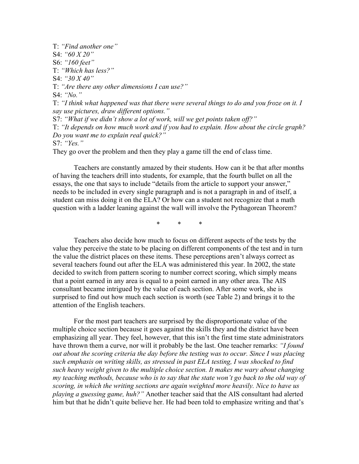T: *"Find another one"*  S4: *"60 X 20"* S6: *"160 feet"* T: *"Which has less?"*  S4: *"30 X 40"*  T: *"Are there any other dimensions I can use?"*  S4: *"No."*  T: *"I think what happened was that there were several things to do and you froze on it. I say use pictures, draw different options."*  S7: *"What if we didn't show a lot of work, will we get points taken off?"*  T: *"It depends on how much work and if you had to explain. How about the circle graph? Do you want me to explain real quick?"*  S7: *"Yes."* 

They go over the problem and then they play a game till the end of class time.

 Teachers are constantly amazed by their students. How can it be that after months of having the teachers drill into students, for example, that the fourth bullet on all the essays, the one that says to include "details from the article to support your answer," needs to be included in every single paragraph and is not a paragraph in and of itself, a student can miss doing it on the ELA? Or how can a student not recognize that a math question with a ladder leaning against the wall will involve the Pythagorean Theorem?

\* \* \*

Teachers also decide how much to focus on different aspects of the tests by the value they perceive the state to be placing on different components of the test and in turn the value the district places on these items. These perceptions aren't always correct as several teachers found out after the ELA was administered this year. In 2002, the state decided to switch from pattern scoring to number correct scoring, which simply means that a point earned in any area is equal to a point earned in any other area. The AIS consultant became intrigued by the value of each section. After some work, she is surprised to find out how much each section is worth (see Table 2) and brings it to the attention of the English teachers.

For the most part teachers are surprised by the disproportionate value of the multiple choice section because it goes against the skills they and the district have been emphasizing all year. They feel, however, that this isn't the first time state administrators have thrown them a curve, nor will it probably be the last. One teacher remarks: *"I found out about the scoring criteria the day before the testing was to occur. Since I was placing such emphasis on writing skills, as stressed in past ELA testing, I was shocked to find such heavy weight given to the multiple choice section. It makes me wary about changing my teaching methods, because who is to say that the state won't go back to the old way of scoring, in which the writing sections are again weighted more heavily. Nice to have us playing a guessing game, huh?"* Another teacher said that the AIS consultant had alerted him but that he didn't quite believe her. He had been told to emphasize writing and that's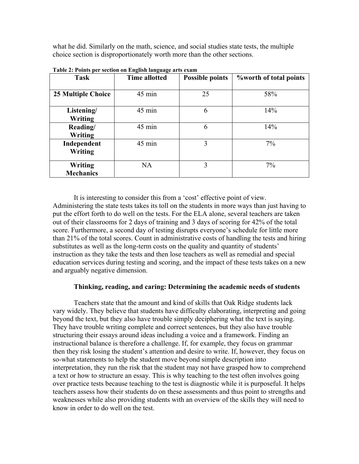what he did. Similarly on the math, science, and social studies state tests, the multiple choice section is disproportionately worth more than the other sections.

| Task                      | <b>Time allotted</b> | <b>Possible points</b> | <b>%</b> worth of total points |
|---------------------------|----------------------|------------------------|--------------------------------|
|                           |                      |                        |                                |
| <b>25 Multiple Choice</b> | 45 min               | 25                     | 58%                            |
|                           |                      |                        |                                |
| Listening/                | 45 min               | 6                      | 14%                            |
| <b>Writing</b>            |                      |                        |                                |
| Reading/                  | 45 min               | 6                      | 14%                            |
| <b>Writing</b>            |                      |                        |                                |
| Independent               | 45 min               | 3                      | 7%                             |
| Writing                   |                      |                        |                                |
| Writing                   | <b>NA</b>            | 3                      | 7%                             |
| <b>Mechanics</b>          |                      |                        |                                |

**Table 2: Points per section on English language arts exam** 

It is interesting to consider this from a 'cost' effective point of view. Administering the state tests takes its toll on the students in more ways than just having to put the effort forth to do well on the tests. For the ELA alone, several teachers are taken out of their classrooms for 2 days of training and 3 days of scoring for 42% of the total score. Furthermore, a second day of testing disrupts everyone's schedule for little more than 21% of the total scores. Count in administrative costs of handling the tests and hiring substitutes as well as the long-term costs on the quality and quantity of students' instruction as they take the tests and then lose teachers as well as remedial and special education services during testing and scoring, and the impact of these tests takes on a new and arguably negative dimension.

# **Thinking, reading, and caring: Determining the academic needs of students**

Teachers state that the amount and kind of skills that Oak Ridge students lack vary widely. They believe that students have difficulty elaborating, interpreting and going beyond the text, but they also have trouble simply deciphering what the text is saying. They have trouble writing complete and correct sentences, but they also have trouble structuring their essays around ideas including a voice and a framework. Finding an instructional balance is therefore a challenge. If, for example, they focus on grammar then they risk losing the student's attention and desire to write. If, however, they focus on so-what statements to help the student move beyond simple description into interpretation, they run the risk that the student may not have grasped how to comprehend a text or how to structure an essay. This is why teaching to the test often involves going over practice tests because teaching to the test is diagnostic while it is purposeful. It helps teachers assess how their students do on these assessments and thus point to strengths and weaknesses while also providing students with an overview of the skills they will need to know in order to do well on the test.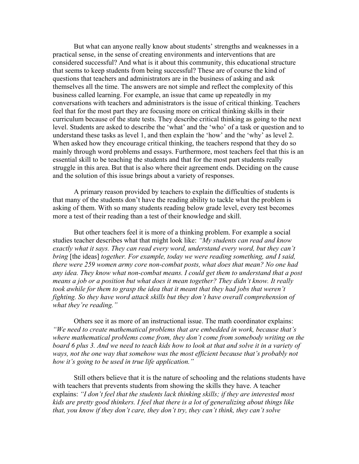But what can anyone really know about students' strengths and weaknesses in a practical sense, in the sense of creating environments and interventions that are considered successful? And what is it about this community, this educational structure that seems to keep students from being successful? These are of course the kind of questions that teachers and administrators are in the business of asking and ask themselves all the time. The answers are not simple and reflect the complexity of this business called learning. For example, an issue that came up repeatedly in my conversations with teachers and administrators is the issue of critical thinking. Teachers feel that for the most part they are focusing more on critical thinking skills in their curriculum because of the state tests. They describe critical thinking as going to the next level. Students are asked to describe the 'what' and the 'who' of a task or question and to understand these tasks as level 1, and then explain the 'how' and the 'why' as level 2. When asked how they encourage critical thinking, the teachers respond that they do so mainly through word problems and essays. Furthermore, most teachers feel that this is an essential skill to be teaching the students and that for the most part students really struggle in this area. But that is also where their agreement ends. Deciding on the cause and the solution of this issue brings about a variety of responses.

A primary reason provided by teachers to explain the difficulties of students is that many of the students don't have the reading ability to tackle what the problem is asking of them. With so many students reading below grade level, every test becomes more a test of their reading than a test of their knowledge and skill.

But other teachers feel it is more of a thinking problem. For example a social studies teacher describes what that might look like: *"My students can read and know exactly what it says. They can read every word, understand every word, but they can't bring* [the ideas] *together. For example, today we were reading something, and I said, there were 259 women army core non-combat posts, what does that mean? No one had any idea. They know what non-combat means. I could get them to understand that a post means a job or a position but what does it mean together? They didn't know. It really took awhile for them to grasp the idea that it meant that they had jobs that weren't fighting. So they have word attack skills but they don't have overall comprehension of what they're reading."* 

Others see it as more of an instructional issue. The math coordinator explains: *"We need to create mathematical problems that are embedded in work, because that's where mathematical problems come from, they don't come from somebody writing on the board 6 plus 3. And we need to teach kids how to look at that and solve it in a variety of*  ways, not the one way that somehow was the most efficient because that's probably not *how it's going to be used in true life application."* 

Still others believe that it is the nature of schooling and the relations students have with teachers that prevents students from showing the skills they have. A teacher explains: *"I don't feel that the students lack thinking skills; if they are interested most kids are pretty good thinkers. I feel that there is a lot of generalizing about things like that, you know if they don't care, they don't try, they can't think, they can't solve*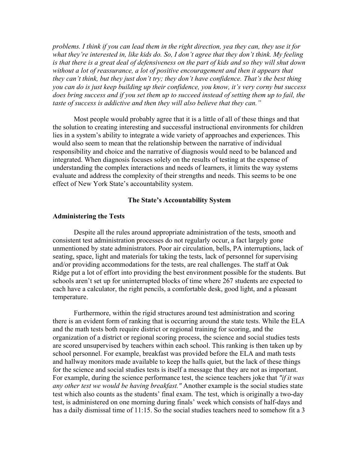*problems. I think if you can lead them in the right direction, yea they can, they use it for what they're interested in, like kids do. So, I don't agree that they don't think. My feeling is that there is a great deal of defensiveness on the part of kids and so they will shut down without a lot of reassurance, a lot of positive encouragement and then it appears that they can't think, but they just don't try; they don't have confidence. That's the best thing you can do is just keep building up their confidence, you know, it's very corny but success does bring success and if you set them up to succeed instead of setting them up to fail, the taste of success is addictive and then they will also believe that they can."* 

Most people would probably agree that it is a little of all of these things and that the solution to creating interesting and successful instructional environments for children lies in a system's ability to integrate a wide variety of approaches and experiences. This would also seem to mean that the relationship between the narrative of individual responsibility and choice and the narrative of diagnosis would need to be balanced and integrated. When diagnosis focuses solely on the results of testing at the expense of understanding the complex interactions and needs of learners, it limits the way systems evaluate and address the complexity of their strengths and needs. This seems to be one effect of New York State's accountability system.

### **The State's Accountability System**

### **Administering the Tests**

Despite all the rules around appropriate administration of the tests, smooth and consistent test administration processes do not regularly occur, a fact largely gone unmentioned by state administrators. Poor air circulation, bells, PA interruptions, lack of seating, space, light and materials for taking the tests, lack of personnel for supervising and/or providing accommodations for the tests, are real challenges. The staff at Oak Ridge put a lot of effort into providing the best environment possible for the students. But schools aren't set up for uninterrupted blocks of time where 267 students are expected to each have a calculator, the right pencils, a comfortable desk, good light, and a pleasant temperature.

Furthermore, within the rigid structures around test administration and scoring there is an evident form of ranking that is occurring around the state tests. While the ELA and the math tests both require district or regional training for scoring, and the organization of a district or regional scoring process, the science and social studies tests are scored unsupervised by teachers within each school. This ranking is then taken up by school personnel. For example, breakfast was provided before the ELA and math tests and hallway monitors made available to keep the halls quiet, but the lack of these things for the science and social studies tests is itself a message that they are not as important. For example, during the science performance test, the science teachers joke that *"if it was any other test we would be having breakfast."* Another example is the social studies state test which also counts as the students' final exam. The test, which is originally a two-day test, is administered on one morning during finals' week which consists of half-days and has a daily dismissal time of 11:15. So the social studies teachers need to somehow fit a 3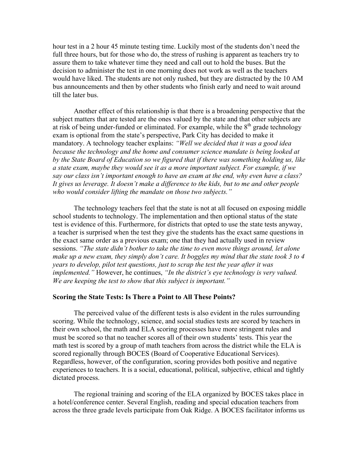hour test in a 2 hour 45 minute testing time. Luckily most of the students don't need the full three hours, but for those who do, the stress of rushing is apparent as teachers try to assure them to take whatever time they need and call out to hold the buses. But the decision to administer the test in one morning does not work as well as the teachers would have liked. The students are not only rushed, but they are distracted by the 10 AM bus announcements and then by other students who finish early and need to wait around till the later bus.

Another effect of this relationship is that there is a broadening perspective that the subject matters that are tested are the ones valued by the state and that other subjects are at risk of being under-funded or eliminated. For example, while the  $8<sup>th</sup>$  grade technology exam is optional from the state's perspective, Park City has decided to make it mandatory. A technology teacher explains: *"Well we decided that it was a good idea*  because the technology and the home and consumer science mandate is being looked at *by the State Board of Education so we figured that if there was something holding us, like a state exam, maybe they would see it as a more important subject. For example, if we say our class isn't important enough to have an exam at the end, why even have a class? It gives us leverage. It doesn't make a difference to the kids, but to me and other people who would consider lifting the mandate on those two subjects."*

The technology teachers feel that the state is not at all focused on exposing middle school students to technology. The implementation and then optional status of the state test is evidence of this. Furthermore, for districts that opted to use the state tests anyway, a teacher is surprised when the test they give the students has the exact same questions in the exact same order as a previous exam; one that they had actually used in review sessions. *"The state didn't bother to take the time to even move things around, let alone make up a new exam, they simply don't care. It boggles my mind that the state took 3 to 4 years to develop, pilot test questions, just to scrap the test the year after it was implemented."* However, he continues, *"In the district's eye technology is very valued. We are keeping the test to show that this subject is important."* 

### **Scoring the State Tests: Is There a Point to All These Points?**

 The perceived value of the different tests is also evident in the rules surrounding scoring. While the technology, science, and social studies tests are scored by teachers in their own school, the math and ELA scoring processes have more stringent rules and must be scored so that no teacher scores all of their own students' tests. This year the math test is scored by a group of math teachers from across the district while the ELA is scored regionally through BOCES (Board of Cooperative Educational Services). Regardless, however, of the configuration, scoring provides both positive and negative experiences to teachers. It is a social, educational, political, subjective, ethical and tightly dictated process.

The regional training and scoring of the ELA organized by BOCES takes place in a hotel/conference center. Several English, reading and special education teachers from across the three grade levels participate from Oak Ridge. A BOCES facilitator informs us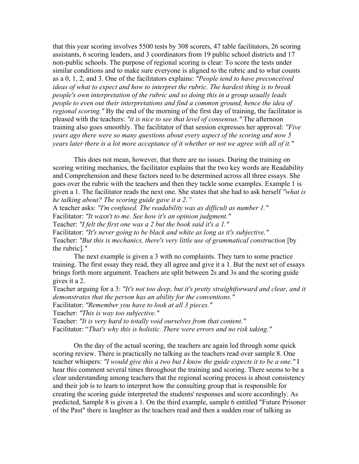that this year scoring involves 5500 tests by 308 scorers, 47 table facilitators, 26 scoring assistants, 6 scoring leaders, and 3 coordinators from 19 public school districts and 17 non-public schools. The purpose of regional scoring is clear: To score the tests under similar conditions and to make sure everyone is aligned to the rubric and to what counts as a 0, 1, 2, and 3. One of the facilitators explains: *"People tend to have preconceived ideas of what to expect and how to interpret the rubric. The hardest thing is to break people's own interpretation of the rubric and so doing this in a group usually leads people to even out their interpretations and find a common ground, hence the idea of regional scoring."* By the end of the morning of the first day of training, the facilitator is pleased with the teachers: *"it is nice to see that level of consensus."* The afternoon training also goes smoothly. The facilitator of that session expresses her approval: *"Five years ago there were so many questions about every aspect of the scoring and now 5 years later there is a lot more acceptance of it whether or not we agree with all of it."* 

This does not mean, however, that there are no issues. During the training on scoring writing mechanics, the facilitator explains that the two key words are Readability and Comprehension and these factors need to be determined across all three essays. She goes over the rubric with the teachers and then they tackle some examples. Example 1 is given a 1. The facilitator reads the next one. She states that she had to ask herself *"what is he talking about? The scoring guide gave it a 2."* 

A teacher asks: *"I'm confused. The readability was as difficult as number 1."* Facilitator: *"It wasn't to me. See how it's an opinion judgment."* Teacher: *"I felt the first one was a 2 but the book said it's a 1."* Facilitator: *"It's never going to be black and white as long as it's subjective."* Teacher: "But this is mechanics, there's very little use of grammatical construction [by the rubric]*."* 

The next example is given a 3 with no complaints. They turn to some practice training. The first essay they read, they all agree and give it a 1. But the next set of essays brings forth more argument. Teachers are split between 2s and 3s and the scoring guide gives it a 2.

Teacher arguing for a 3: *"It's not too deep, but it's pretty straightforward and clear, and it demonstrates that the person has an ability for the conventions."* 

Facilitator: *"Remember you have to look at all 3 pieces."*

Teacher: *"This is way too subjective."*

Teacher: *"It is very hard to totally void ourselves from that content."* Facilitator: "*That's why this is holistic. There were errors and no risk taking."*

On the day of the actual scoring, the teachers are again led through some quick scoring review. There is practically no talking as the teachers read over sample 8. One teacher whispers: *"I would give this a two but I know the guide expects it to be a one."* I hear this comment several times throughout the training and scoring. There seems to be a clear understanding among teachers that the regional scoring process is about consistency and their job is to learn to interpret how the consulting group that is responsible for creating the scoring guide interpreted the students' responses and score accordingly. As predicted, Sample 8 is given a 1. On the third example, sample 6 entitled "Future Prisoner of the Past" there is laughter as the teachers read and then a sudden roar of talking as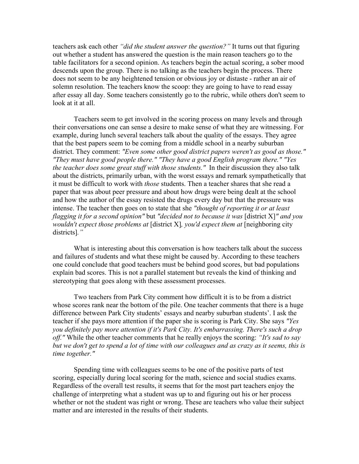teachers ask each other *"did the student answer the question?"* It turns out that figuring out whether a student has answered the question is the main reason teachers go to the table facilitators for a second opinion. As teachers begin the actual scoring, a sober mood descends upon the group. There is no talking as the teachers begin the process. There does not seem to be any heightened tension or obvious joy or distaste - rather an air of solemn resolution. The teachers know the scoop: they are going to have to read essay after essay all day. Some teachers consistently go to the rubric, while others don't seem to look at it at all.

Teachers seem to get involved in the scoring process on many levels and through their conversations one can sense a desire to make sense of what they are witnessing. For example, during lunch several teachers talk about the quality of the essays. They agree that the best papers seem to be coming from a middle school in a nearby suburban district. They comment: *"Even some other good district papers weren't as good as those." "They must have good people there." "They have a good English program there." "Yes the teacher does some great stuff with those students."* In their discussion they also talk about the districts, primarily urban, with the worst essays and remark sympathetically that it must be difficult to work with *those* students. Then a teacher shares that she read a paper that was about peer pressure and about how drugs were being dealt at the school and how the author of the essay resisted the drugs every day but that the pressure was intense. The teacher then goes on to state that she *"thought of reporting it or at least flagging it for a second opinion"* but *"decided not to because it was* [district X]*" and you wouldn't expect those problems at* [district X]*, you'd expect them at* [neighboring city districts]*."* 

What is interesting about this conversation is how teachers talk about the success and failures of students and what these might be caused by. According to these teachers one could conclude that good teachers must be behind good scores, but bad populations explain bad scores. This is not a parallel statement but reveals the kind of thinking and stereotyping that goes along with these assessment processes.

Two teachers from Park City comment how difficult it is to be from a district whose scores rank near the bottom of the pile. One teacher comments that there is a huge difference between Park City students' essays and nearby suburban students'. I ask the teacher if she pays more attention if the paper she is scoring is Park City. She says *"Yes you definitely pay more attention if it's Park City. It's embarrassing. There's such a drop off."* While the other teacher comments that he really enjoys the scoring: *"It's sad to say*  but we don't get to spend a lot of time with our colleagues and as crazy as it seems, this is *time together."* 

Spending time with colleagues seems to be one of the positive parts of test scoring, especially during local scoring for the math, science and social studies exams. Regardless of the overall test results, it seems that for the most part teachers enjoy the challenge of interpreting what a student was up to and figuring out his or her process whether or not the student was right or wrong. These are teachers who value their subject matter and are interested in the results of their students.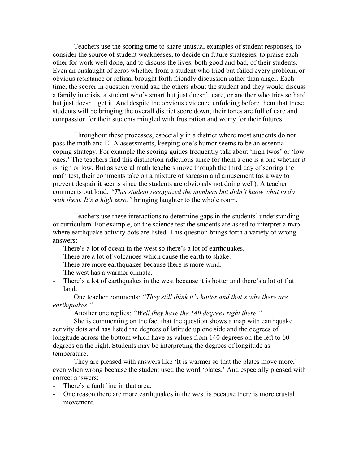Teachers use the scoring time to share unusual examples of student responses, to consider the source of student weaknesses, to decide on future strategies, to praise each other for work well done, and to discuss the lives, both good and bad, of their students. Even an onslaught of zeros whether from a student who tried but failed every problem, or obvious resistance or refusal brought forth friendly discussion rather than anger. Each time, the scorer in question would ask the others about the student and they would discuss a family in crisis, a student who's smart but just doesn't care, or another who tries so hard but just doesn't get it. And despite the obvious evidence unfolding before them that these students will be bringing the overall district score down, their tones are full of care and compassion for their students mingled with frustration and worry for their futures.

Throughout these processes, especially in a district where most students do not pass the math and ELA assessments, keeping one's humor seems to be an essential coping strategy. For example the scoring guides frequently talk about 'high twos' or 'low ones.' The teachers find this distinction ridiculous since for them a one is a one whether it is high or low. But as several math teachers move through the third day of scoring the math test, their comments take on a mixture of sarcasm and amusement (as a way to prevent despair it seems since the students are obviously not doing well). A teacher comments out loud: *"This student recognized the numbers but didn't know what to do with them. It's a high zero,"* bringing laughter to the whole room.

Teachers use these interactions to determine gaps in the students' understanding or curriculum. For example, on the science test the students are asked to interpret a map where earthquake activity dots are listed. This question brings forth a variety of wrong answers:

- There's a lot of ocean in the west so there's a lot of earthquakes.
- There are a lot of volcanoes which cause the earth to shake.
- There are more earthquakes because there is more wind.
- The west has a warmer climate.
- There's a lot of earthquakes in the west because it is hotter and there's a lot of flat land.

One teacher comments: *"They still think it's hotter and that's why there are earthquakes."* 

Another one replies: *"Well they have the 140 degrees right there."* 

She is commenting on the fact that the question shows a map with earthquake activity dots and has listed the degrees of latitude up one side and the degrees of longitude across the bottom which have as values from 140 degrees on the left to 60 degrees on the right. Students may be interpreting the degrees of longitude as temperature.

They are pleased with answers like 'It is warmer so that the plates move more,' even when wrong because the student used the word 'plates.' And especially pleased with correct answers:

- There's a fault line in that area.
- One reason there are more earthquakes in the west is because there is more crustal movement.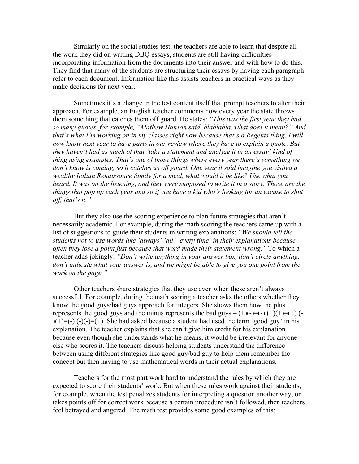Similarly on the social studies test, the teachers are able to learn that despite all the work they did on writing DBQ essays, students are still having difficulties incorporating information from the documents into their answer and with how to do this. They find that many of the students are structuring their essays by having each paragraph refer to each document. Information like this assists teachers in practical ways as they make decisions for next year.

Sometimes it's a change in the test content itself that prompt teachers to alter their approach. For example, an English teacher comments how every year the state throws them something that catches them off guard. He states: *"This was the first year they had so many quotes, for example, "Mathew Hanson said, blablabla, what does it mean?" And that's what I'm working on in my classes right now because that's a Regents thing. I will now know next year to have parts in our review where they have to explain a quote. But they haven't had as much of that 'take a statement and analyze it in an essay' kind of thing using examples. That's one of those things where every year there's something we don't know is coming, so it catches us off guard. One year it said imagine you visited a wealthy Italian Renaissance family for a meal, what would it be like? Use what you heard. It was on the listening, and they were supposed to write it in a story. Those are the things that pop up each year and so if you have a kid who's looking for an excuse to shut off, that's it."* 

But they also use the scoring experience to plan future strategies that aren't necessarily academic. For example, during the math scoring the teachers came up with a list of suggestions to guide their students in writing explanations: *"We should tell the students not to use words like 'always' 'all' 'every time' in their explanations because often they lose a point just because that word made their statement wrong."* To which a teacher adds jokingly: *"Don't write anything in your answer box, don't circle anything, don't indicate what your answer is, and we might be able to give you one point from the work on the page."*

Other teachers share strategies that they use even when these aren't always successful. For example, during the math scoring a teacher asks the others whether they know the good guys/bad guys approach for integers. She shows them how the plus represents the good guys and the minus represents the bad guys  $-(+)(-)=(-)(+)(+)=(+)$ .  $)(+) = (-) (-) (-) = (+)$ . She had asked because a student had used the term 'good guy' in his explanation. The teacher explains that she can't give him credit for his explanation because even though she understands what he means, it would be irrelevant for anyone else who scores it. The teachers discuss helping students understand the difference between using different strategies like good guy/bad guy to help them remember the concept but then having to use mathematical words in their actual explanations.

Teachers for the most part work hard to understand the rules by which they are expected to score their students' work. But when these rules work against their students, for example, when the test penalizes students for interpreting a question another way, or takes points off for correct work because a certain procedure isn't followed, then teachers feel betrayed and angered. The math test provides some good examples of this: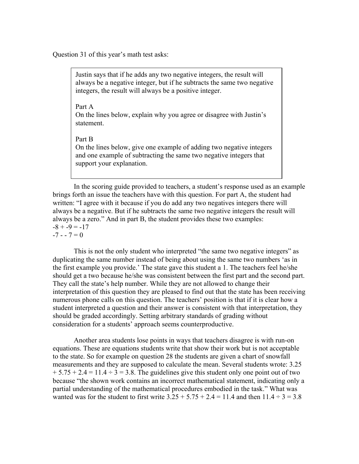Question 31 of this year's math test asks:

Justin says that if he adds any two negative integers, the result will always be a negative integer, but if he subtracts the same two negative integers, the result will always be a positive integer.

Part A

On the lines below, explain why you agree or disagree with Justin's statement.

#### Part B

On the lines below, give one example of adding two negative integers and one example of subtracting the same two negative integers that support your explanation.

In the scoring guide provided to teachers, a student's response used as an example brings forth an issue the teachers have with this question. For part A, the student had written: "I agree with it because if you do add any two negatives integers there will always be a negative. But if he subtracts the same two negative integers the result will always be a zero." And in part B, the student provides these two examples:  $-8 + -9 = -17$  $-7 - - 7 = 0$ 

This is not the only student who interpreted "the same two negative integers" as duplicating the same number instead of being about using the same two numbers 'as in the first example you provide.' The state gave this student a 1. The teachers feel he/she should get a two because he/she was consistent between the first part and the second part. They call the state's help number. While they are not allowed to change their interpretation of this question they are pleased to find out that the state has been receiving numerous phone calls on this question. The teachers' position is that if it is clear how a student interpreted a question and their answer is consistent with that interpretation, they should be graded accordingly. Setting arbitrary standards of grading without consideration for a students' approach seems counterproductive.

Another area students lose points in ways that teachers disagree is with run-on equations. These are equations students write that show their work but is not acceptable to the state. So for example on question 28 the students are given a chart of snowfall measurements and they are supposed to calculate the mean. Several students wrote: 3.25  $+ 5.75 + 2.4 = 11.4 \div 3 = 3.8$ . The guidelines give this student only one point out of two because "the shown work contains an incorrect mathematical statement, indicating only a partial understanding of the mathematical procedures embodied in the task." What was wanted was for the student to first write  $3.25 + 5.75 + 2.4 = 11.4$  and then  $11.4 \div 3 = 3.8$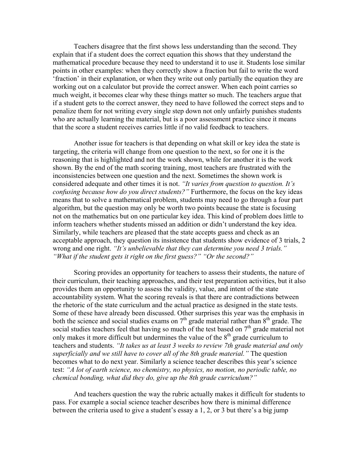Teachers disagree that the first shows less understanding than the second. They explain that if a student does the correct equation this shows that they understand the mathematical procedure because they need to understand it to use it. Students lose similar points in other examples: when they correctly show a fraction but fail to write the word 'fraction' in their explanation, or when they write out only partially the equation they are working out on a calculator but provide the correct answer. When each point carries so much weight, it becomes clear why these things matter so much. The teachers argue that if a student gets to the correct answer, they need to have followed the correct steps and to penalize them for not writing every single step down not only unfairly punishes students who are actually learning the material, but is a poor assessment practice since it means that the score a student receives carries little if no valid feedback to teachers.

Another issue for teachers is that depending on what skill or key idea the state is targeting, the criteria will change from one question to the next, so for one it is the reasoning that is highlighted and not the work shown, while for another it is the work shown. By the end of the math scoring training, most teachers are frustrated with the inconsistencies between one question and the next. Sometimes the shown work is considered adequate and other times it is not. *"It varies from question to question. It's confusing because how do you direct students?"* Furthermore, the focus on the key ideas means that to solve a mathematical problem, students may need to go through a four part algorithm, but the question may only be worth two points because the state is focusing not on the mathematics but on one particular key idea. This kind of problem does little to inform teachers whether students missed an addition or didn't understand the key idea. Similarly, while teachers are pleased that the state accepts guess and check as an acceptable approach, they question its insistence that students show evidence of 3 trials, 2 wrong and one right. *"It's unbelievable that they can determine you need 3 trials." "What if the student gets it right on the first guess?" "Or the second?"* 

Scoring provides an opportunity for teachers to assess their students, the nature of their curriculum, their teaching approaches, and their test preparation activities, but it also provides them an opportunity to assess the validity, value, and intent of the state accountability system. What the scoring reveals is that there are contradictions between the rhetoric of the state curriculum and the actual practice as designed in the state tests. Some of these have already been discussed. Other surprises this year was the emphasis in both the science and social studies exams on  $7<sup>th</sup>$  grade material rather than  $8<sup>th</sup>$  grade. The social studies teachers feel that having so much of the test based on  $7<sup>th</sup>$  grade material not only makes it more difficult but undermines the value of the  $8<sup>th</sup>$  grade curriculum to teachers and students. *"It takes us at least 3 weeks to review 7th grade material and only superficially and we still have to cover all of the 8th grade material."* The question becomes what to do next year. Similarly a science teacher describes this year's science test: *"A lot of earth science, no chemistry, no physics, no motion, no periodic table, no chemical bonding, what did they do, give up the 8th grade curriculum?"* 

And teachers question the way the rubric actually makes it difficult for students to pass. For example a social science teacher describes how there is minimal difference between the criteria used to give a student's essay a 1, 2, or 3 but there's a big jump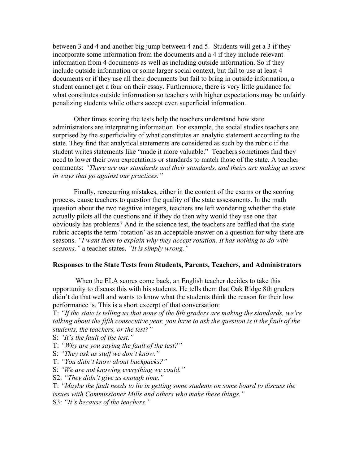between 3 and 4 and another big jump between 4 and 5. Students will get a 3 if they incorporate some information from the documents and a 4 if they include relevant information from 4 documents as well as including outside information. So if they include outside information or some larger social context, but fail to use at least 4 documents or if they use all their documents but fail to bring in outside information, a student cannot get a four on their essay. Furthermore, there is very little guidance for what constitutes outside information so teachers with higher expectations may be unfairly penalizing students while others accept even superficial information.

 Other times scoring the tests help the teachers understand how state administrators are interpreting information. For example, the social studies teachers are surprised by the superficiality of what constitutes an analytic statement according to the state. They find that analytical statements are considered as such by the rubric if the student writes statements like "made it more valuable." Teachers sometimes find they need to lower their own expectations or standards to match those of the state. A teacher comments: *"There are our standards and their standards, and theirs are making us score in ways that go against our practices."* 

Finally, reoccurring mistakes, either in the content of the exams or the scoring process, cause teachers to question the quality of the state assessments. In the math question about the two negative integers, teachers are left wondering whether the state actually pilots all the questions and if they do then why would they use one that obviously has problems? And in the science test, the teachers are baffled that the state rubric accepts the term 'rotation' as an acceptable answer on a question for why there are seasons. *"I want them to explain why they accept rotation. It has nothing to do with seasons,"* a teacher states. *"It is simply wrong."* 

### **Responses to the State Tests from Students, Parents, Teachers, and Administrators**

 When the ELA scores come back, an English teacher decides to take this opportunity to discuss this with his students. He tells them that Oak Ridge 8th graders didn't do that well and wants to know what the students think the reason for their low performance is. This is a short excerpt of that conversation:

T: *"If the state is telling us that none of the 8th graders are making the standards, we're talking about the fifth consecutive year, you have to ask the question is it the fault of the students, the teachers, or the test?"*

- S: *"It's the fault of the test."*
- T: *"Why are you saying the fault of the test?"*
- S: *"They ask us stuff we don't know."*
- T: *"You didn't know about backpacks?"*
- S: *"We are not knowing everything we could."*

S2: *"They didn't give us enough time."* 

T: *"Maybe the fault needs to lie in getting some students on some board to discuss the issues with Commissioner Mills and others who make these things."*

S3: *"It's because of the teachers."*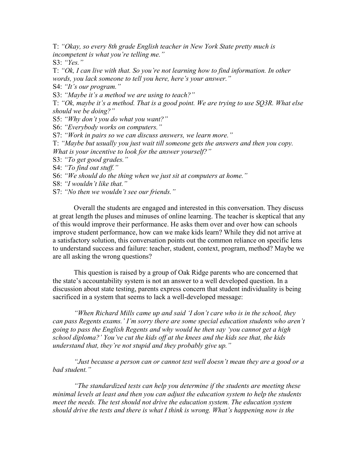T: *"Okay, so every 8th grade English teacher in New York State pretty much is incompetent is what you're telling me."*

S3: *"Yes."* 

T: *"Ok, I can live with that. So you're not learning how to find information. In other words, you lack someone to tell you here, here's your answer."* 

S4: *"It's our program."* 

S3: *"Maybe it's a method we are using to teach?"* 

T: *"Ok, maybe it's a method. That is a good point. We are trying to use SQ3R. What else should we be doing?"* 

S5: *"Why don't you do what you want?"*

S6: *"Everybody works on computers."* 

S7: *"Work in pairs so we can discuss answers, we learn more."* 

T: *"Maybe but usually you just wait till someone gets the answers and then you copy. What is your incentive to look for the answer yourself?"* 

S3: *"To get good grades."* 

S4: *"To find out stuff."* 

S6: *"We should do the thing when we just sit at computers at home."* 

S8: *"I wouldn't like that."* 

S7: *"No then we wouldn't see our friends."*

Overall the students are engaged and interested in this conversation. They discuss at great length the pluses and minuses of online learning. The teacher is skeptical that any of this would improve their performance. He asks them over and over how can schools improve student performance, how can we make kids learn? While they did not arrive at a satisfactory solution, this conversation points out the common reliance on specific lens to understand success and failure: teacher, student, context, program, method? Maybe we are all asking the wrong questions?

This question is raised by a group of Oak Ridge parents who are concerned that the state's accountability system is not an answer to a well developed question. In a discussion about state testing, parents express concern that student individuality is being sacrificed in a system that seems to lack a well-developed message:

*"When Richard Mills came up and said 'I don't care who is in the school, they can pass Regents exams.' I'm sorry there are some special education students who aren't going to pass the English Regents and why would he then say 'you cannot get a high school diploma?' You've cut the kids off at the knees and the kids see that, the kids understand that, they're not stupid and they probably give up."* 

*"Just because a person can or cannot test well doesn't mean they are a good or a bad student."* 

*"The standardized tests can help you determine if the students are meeting these minimal levels at least and then you can adjust the education system to help the students meet the needs. The test should not drive the education system. The education system should drive the tests and there is what I think is wrong. What's happening now is the*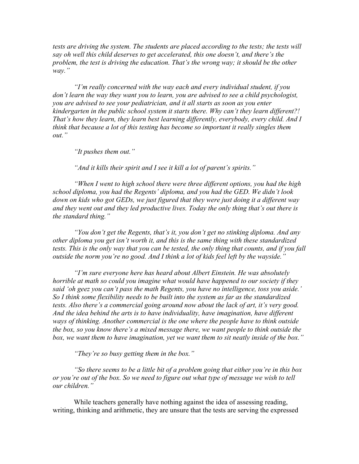*tests are driving the system. The students are placed according to the tests; the tests will say oh well this child deserves to get accelerated, this one doesn't, and there's the problem, the test is driving the education. That's the wrong way; it should be the other way."* 

*"I'm really concerned with the way each and every individual student, if you don't learn the way they want you to learn, you are advised to see a child psychologist, you are advised to see your pediatrician, and it all starts as soon as you enter kindergarten in the public school system it starts there. Why can't they learn different?! That's how they learn, they learn best learning differently, everybody, every child. And I think that because a lot of this testing has become so important it really singles them out."* 

*"It pushes them out."* 

*"And it kills their spirit and I see it kill a lot of parent's spirits."* 

*"When I went to high school there were three different options, you had the high school diploma, you had the Regents' diploma, and you had the GED. We didn't look down on kids who got GEDs, we just figured that they were just doing it a different way and they went out and they led productive lives. Today the only thing that's out there is the standard thing."* 

*"You don't get the Regents, that's it, you don't get no stinking diploma. And any other diploma you get isn't worth it, and this is the same thing with these standardized tests. This is the only way that you can be tested, the only thing that counts, and if you fall outside the norm you're no good. And I think a lot of kids feel left by the wayside."* 

*"I'm sure everyone here has heard about Albert Einstein. He was absolutely horrible at math so could you imagine what would have happened to our society if they said 'oh geez you can't pass the math Regents, you have no intelligence, toss you aside.' So I think some flexibility needs to be built into the system as far as the standardized tests. Also there's a commercial going around now about the lack of art, it's very good. And the idea behind the arts is to have individuality, have imagination, have different ways of thinking. Another commercial is the one where the people have to think outside the box, so you know there's a mixed message there, we want people to think outside the box, we want them to have imagination, yet we want them to sit neatly inside of the box."* 

*"They're so busy getting them in the box."* 

*"So there seems to be a little bit of a problem going that either you're in this box or you're out of the box. So we need to figure out what type of message we wish to tell our children."* 

While teachers generally have nothing against the idea of assessing reading, writing, thinking and arithmetic, they are unsure that the tests are serving the expressed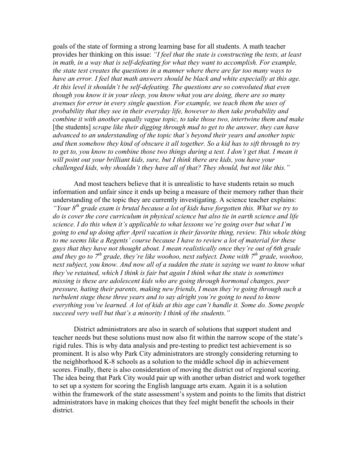goals of the state of forming a strong learning base for all students. A math teacher provides her thinking on this issue: *"I feel that the state is constructing the tests, at least*  in math, in a way that is self-defeating for what they want to accomplish. For example, *the state test creates the questions in a manner where there are far too many ways to have an error. I feel that math answers should be black and white especially at this age. At this level it shouldn't be self-defeating. The questions are so convoluted that even though you know it in your sleep, you know what you are doing, there are so many avenues for error in every single question. For example, we teach them the uses of probability that they see in their everyday life, however to then take probability and combine it with another equally vague topic, to take those two, intertwine them and make*  [the students] *scrape like their digging through mud to get to the answer, they can have advanced to an understanding of the topic that's beyond their years and another topic and then somehow they kind of obscure it all together. So a kid has to sift through to try*  to get to, you know to combine those two things during a test. I don't get that. I mean it *will point out your brilliant kids, sure, but I think there are kids, you have your challenged kids, why shouldn't they have all of that? They should, but not like this."* 

And most teachers believe that it is unrealistic to have students retain so much information and unfair since it ends up being a measure of their memory rather than their understanding of the topic they are currently investigating. A science teacher explains: *"Your 8th grade exam is brutal because a lot of kids have forgotten this. What we try to do is cover the core curriculum in physical science but also tie in earth science and life science. I do this when it's applicable to what lessons we're going over but what I'm going to end up doing after April vacation is their favorite thing, review. This whole thing to me seems like a Regents' course because I have to review a lot of material for these guys that they have not thought about. I mean realistically once they're out of 6th grade and they go to 7th grade, they're like woohoo, next subject. Done with 7th grade, woohoo,*  next subject, you know. And now all of a sudden the state is saying we want to know what *they've retained, which I think is fair but again I think what the state is sometimes missing is these are adolescent kids who are going through hormonal changes, peer pressure, hating their parents, making new friends, I mean they're going through such a turbulent stage these three years and to say alright you're going to need to know everything you've learned. A lot of kids at this age can't handle it. Some do. Some people succeed very well but that's a minority I think of the students."* 

District administrators are also in search of solutions that support student and teacher needs but these solutions must now also fit within the narrow scope of the state's rigid rules. This is why data analysis and pre-testing to predict test achievement is so prominent. It is also why Park City administrators are strongly considering returning to the neighborhood K-8 schools as a solution to the middle school dip in achievement scores. Finally, there is also consideration of moving the district out of regional scoring. The idea being that Park City would pair up with another urban district and work together to set up a system for scoring the English language arts exam. Again it is a solution within the framework of the state assessment's system and points to the limits that district administrators have in making choices that they feel might benefit the schools in their district.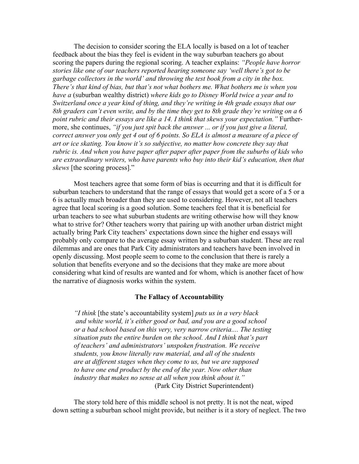The decision to consider scoring the ELA locally is based on a lot of teacher feedback about the bias they feel is evident in the way suburban teachers go about scoring the papers during the regional scoring. A teacher explains: *"People have horror stories like one of our teachers reported hearing someone say 'well there's got to be garbage collectors in the world' and throwing the test book from a city in the box. There's that kind of bias, but that's not what bothers me. What bothers me is when you have a* (suburban wealthy district) *where kids go to Disney World twice a year and to Switzerland once a year kind of thing, and they're writing in 4th grade essays that our 8th graders can't even write, and by the time they get to 8th grade they're writing on a 6 point rubric and their essays are like a 14. I think that skews your expectation."* Furthermore, she continues, *"if you just spit back the answer ... or if you just give a literal, correct answer you only get 4 out of 6 points. So ELA is almost a measure of a piece of art or ice skating. You know it's so subjective, no matter how concrete they say that rubric is. And when you have paper after paper after paper from the suburbs of kids who are extraordinary writers, who have parents who buy into their kid's education, then that skews* [the scoring process]."

Most teachers agree that some form of bias is occurring and that it is difficult for suburban teachers to understand that the range of essays that would get a score of a 5 or a 6 is actually much broader than they are used to considering. However, not all teachers agree that local scoring is a good solution. Some teachers feel that it is beneficial for urban teachers to see what suburban students are writing otherwise how will they know what to strive for? Other teachers worry that pairing up with another urban district might actually bring Park City teachers' expectations down since the higher end essays will probably only compare to the average essay written by a suburban student. These are real dilemmas and are ones that Park City administrators and teachers have been involved in openly discussing. Most people seem to come to the conclusion that there is rarely a solution that benefits everyone and so the decisions that they make are more about considering what kind of results are wanted and for whom, which is another facet of how the narrative of diagnosis works within the system.

### **The Fallacy of Accountability**

*"I think* [the state's accountability system] *puts us in a very black and white world, it's either good or bad, and you are a good school or a bad school based on this very, very narrow criteria.... The testing situation puts the entire burden on the school. And I think that's part of teachers' and administrators' unspoken frustration. We receive students, you know literally raw material, and all of the students are at different stages when they come to us, but we are supposed to have one end product by the end of the year. Now other than industry that makes no sense at all when you think about it."* (Park City District Superintendent)

The story told here of this middle school is not pretty. It is not the neat, wiped down setting a suburban school might provide, but neither is it a story of neglect. The two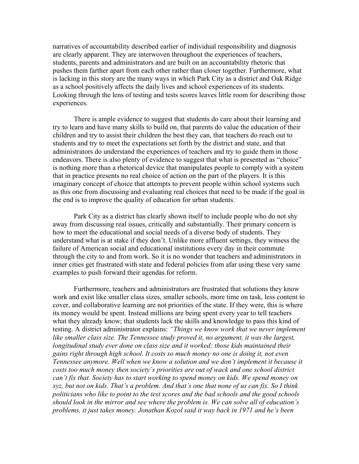narratives of accountability described earlier of individual responsibility and diagnosis are clearly apparent. They are interwoven throughout the experiences of teachers, students, parents and administrators and are built on an accountability rhetoric that pushes them farther apart from each other rather than closer together. Furthermore, what is lacking in this story are the many ways in which Park City as a district and Oak Ridge as a school positively affects the daily lives and school experiences of its students. Looking through the lens of testing and tests scores leaves little room for describing those experiences.

There is ample evidence to suggest that students do care about their learning and try to learn and have many skills to build on, that parents do value the education of their children and try to assist their children the best they can, that teachers do reach out to students and try to meet the expectations set forth by the district and state, and that administrators do understand the experiences of teachers and try to guide them in those endeavors. There is also plenty of evidence to suggest that what is presented as "choice" is nothing more than a rhetorical device that manipulates people to comply with a system that in practice presents no real choice of action on the part of the players. It is this imaginary concept of choice that attempts to prevent people within school systems such as this one from discussing and evaluating real choices that need to be made if the goal in the end is to improve the quality of education for urban students.

Park City as a district has clearly shown itself to include people who do not shy away from discussing real issues, critically and substantially. Their primary concern is how to meet the educational and social needs of a diverse body of students. They understand what is at stake if they don't. Unlike more affluent settings, they witness the failure of American social and educational institutions every day in their commute through the city to and from work. So it is no wonder that teachers and administrators in inner cities get frustrated with state and federal policies from afar using these very same examples to push forward their agendas for reform.

Furthermore, teachers and administrators are frustrated that solutions they know work and exist like smaller class sizes, smaller schools, more time on task, less content to cover, and collaborative learning are not priorities of the state. If they were, this is where its money would be spent. Instead millions are being spent every year to tell teachers what they already know; that students lack the skills and knowledge to pass this kind of testing. A district administrator explains: *"Things we know work that we never implement like smaller class size. The Tennessee study proved it, no argument, it was the largest, longitudinal study ever done on class size and it worked; those kids maintained their gains right through high school. It costs so much money no one is doing it, not even Tennessee anymore. Well when we know a solution and we don't implement it because it costs too much money then society's priorities are out of wack and one school district can't fix that. Society has to start working to spend money on kids. We spend money on xyz, but not on kids. That's a problem. And that's one that none of us can fix. So I think politicians who like to point to the test scores and the bad schools and the good schools should look in the mirror and see where the problem is. We can solve all of education's problems, it just takes money. Jonathan Kozol said it way back in 1971 and he's been*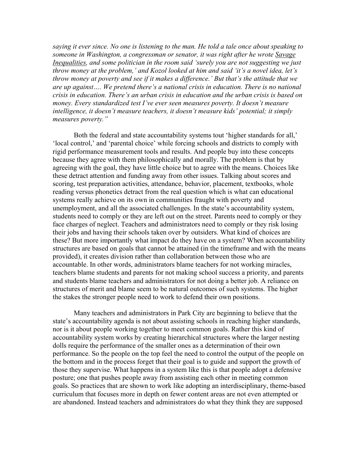*saying it ever since. No one is listening to the man. He told a tale once about speaking to someone in Washington, a congressman or senator, it was right after he wrote Savage Inequalities, and some politician in the room said 'surely you are not suggesting we just throw money at the problem,' and Kozol looked at him and said 'it's a novel idea, let's throw money at poverty and see if it makes a difference.' But that's the attitude that we are up against…. We pretend there's a national crisis in education. There is no national crisis in education. There's an urban crisis in education and the urban crisis is based on money. Every standardized test I've ever seen measures poverty. It doesn't measure intelligence, it doesn't measure teachers, it doesn't measure kids' potential; it simply measures poverty."* 

Both the federal and state accountability systems tout 'higher standards for all,' 'local control,' and 'parental choice' while forcing schools and districts to comply with rigid performance measurement tools and results. And people buy into these concepts because they agree with them philosophically and morally. The problem is that by agreeing with the goal, they have little choice but to agree with the means. Choices like these detract attention and funding away from other issues. Talking about scores and scoring, test preparation activities, attendance, behavior, placement, textbooks, whole reading versus phonetics detract from the real question which is what can educational systems really achieve on its own in communities fraught with poverty and unemployment, and all the associated challenges. In the state's accountability system, students need to comply or they are left out on the street. Parents need to comply or they face charges of neglect. Teachers and administrators need to comply or they risk losing their jobs and having their schools taken over by outsiders. What kind of choices are these? But more importantly what impact do they have on a system? When accountability structures are based on goals that cannot be attained (in the timeframe and with the means provided), it creates division rather than collaboration between those who are accountable. In other words, administrators blame teachers for not working miracles, teachers blame students and parents for not making school success a priority, and parents and students blame teachers and administrators for not doing a better job. A reliance on structures of merit and blame seem to be natural outcomes of such systems. The higher the stakes the stronger people need to work to defend their own positions.

Many teachers and administrators in Park City are beginning to believe that the state's accountability agenda is not about assisting schools in reaching higher standards, nor is it about people working together to meet common goals. Rather this kind of accountability system works by creating hierarchical structures where the larger nesting dolls require the performance of the smaller ones as a determination of their own performance. So the people on the top feel the need to control the output of the people on the bottom and in the process forget that their goal is to guide and support the growth of those they supervise. What happens in a system like this is that people adopt a defensive posture; one that pushes people away from assisting each other in meeting common goals. So practices that are shown to work like adopting an interdisciplinary, theme-based curriculum that focuses more in depth on fewer content areas are not even attempted or are abandoned. Instead teachers and administrators do what they think they are supposed